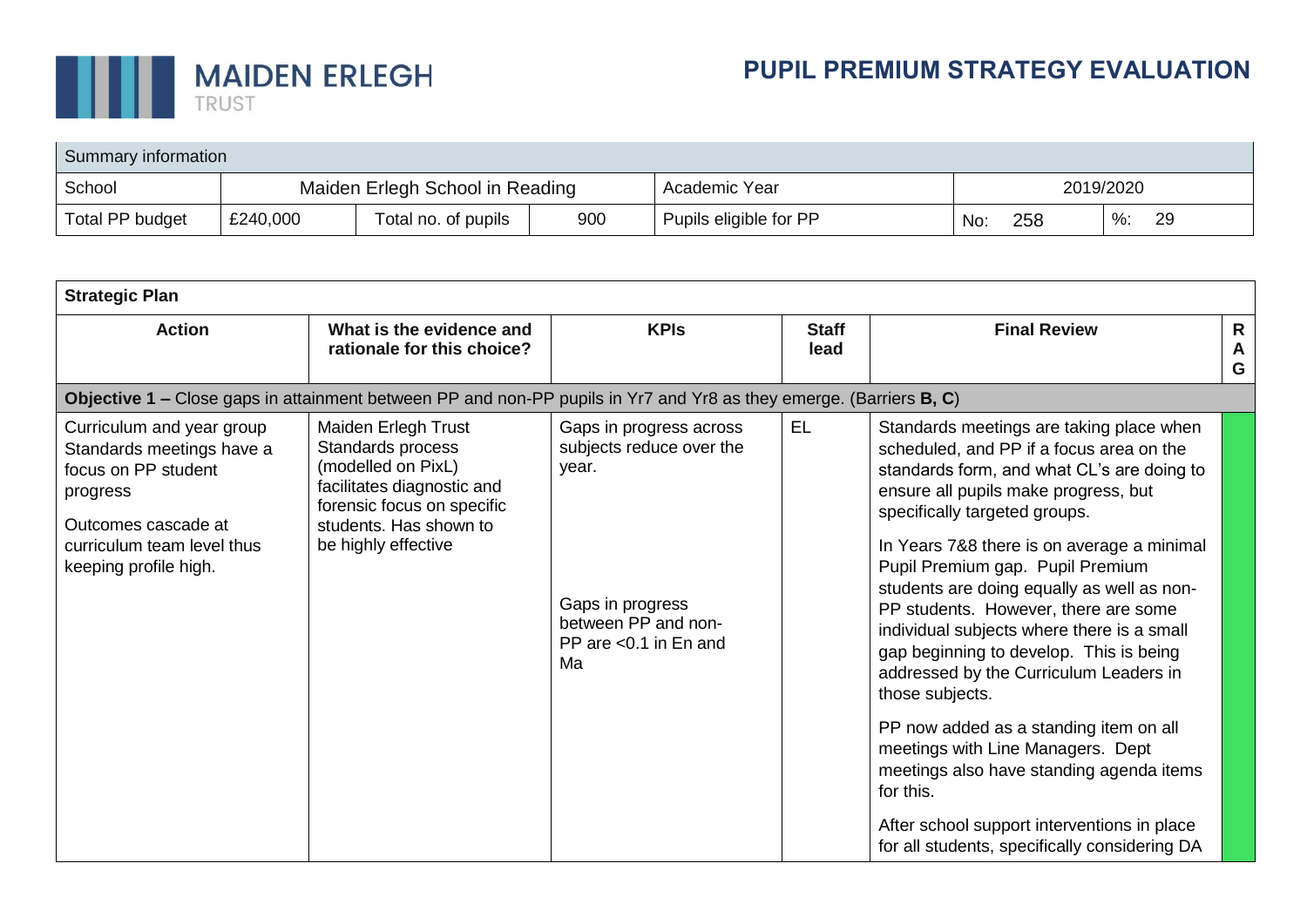

| Summary information |          |                                 |     |                        |           |     |   |    |  |  |
|---------------------|----------|---------------------------------|-----|------------------------|-----------|-----|---|----|--|--|
| School              |          | Maiden Erlegh School in Reading |     | Academic Year          | 2019/2020 |     |   |    |  |  |
| Total PP budget     | £240,000 | Total no. of pupils             | 900 | Pupils eligible for PP | No:       | 258 | % | 29 |  |  |

| <b>Strategic Plan</b>                                                                                                                                                   |                                                                                                                                                                             |                                                                                                                                           |                      |                                                                                                                                                                                                                                                                                                                                                                                                                                                                                                                                                                                                                                                                                                                                                                                   |                        |  |  |  |  |  |  |
|-------------------------------------------------------------------------------------------------------------------------------------------------------------------------|-----------------------------------------------------------------------------------------------------------------------------------------------------------------------------|-------------------------------------------------------------------------------------------------------------------------------------------|----------------------|-----------------------------------------------------------------------------------------------------------------------------------------------------------------------------------------------------------------------------------------------------------------------------------------------------------------------------------------------------------------------------------------------------------------------------------------------------------------------------------------------------------------------------------------------------------------------------------------------------------------------------------------------------------------------------------------------------------------------------------------------------------------------------------|------------------------|--|--|--|--|--|--|
| <b>Action</b>                                                                                                                                                           | What is the evidence and<br>rationale for this choice?                                                                                                                      |                                                                                                                                           | <b>Staff</b><br>lead | <b>Final Review</b>                                                                                                                                                                                                                                                                                                                                                                                                                                                                                                                                                                                                                                                                                                                                                               | $\mathsf{R}$<br>A<br>G |  |  |  |  |  |  |
| Objective 1 – Close gaps in attainment between PP and non-PP pupils in Yr7 and Yr8 as they emerge. (Barriers B, C)                                                      |                                                                                                                                                                             |                                                                                                                                           |                      |                                                                                                                                                                                                                                                                                                                                                                                                                                                                                                                                                                                                                                                                                                                                                                                   |                        |  |  |  |  |  |  |
| Curriculum and year group<br>Standards meetings have a<br>focus on PP student<br>progress<br>Outcomes cascade at<br>curriculum team level thus<br>keeping profile high. | Maiden Erlegh Trust<br>Standards process<br>(modelled on PixL)<br>facilitates diagnostic and<br>forensic focus on specific<br>students. Has shown to<br>be highly effective | Gaps in progress across<br>subjects reduce over the<br>year.<br>Gaps in progress<br>between PP and non-<br>PP are $< 0.1$ in En and<br>Ma | <b>EL</b>            | Standards meetings are taking place when<br>scheduled, and PP if a focus area on the<br>standards form, and what CL's are doing to<br>ensure all pupils make progress, but<br>specifically targeted groups.<br>In Years 7&8 there is on average a minimal<br>Pupil Premium gap. Pupil Premium<br>students are doing equally as well as non-<br>PP students. However, there are some<br>individual subjects where there is a small<br>gap beginning to develop. This is being<br>addressed by the Curriculum Leaders in<br>those subjects.<br>PP now added as a standing item on all<br>meetings with Line Managers. Dept<br>meetings also have standing agenda items<br>for this.<br>After school support interventions in place<br>for all students, specifically considering DA |                        |  |  |  |  |  |  |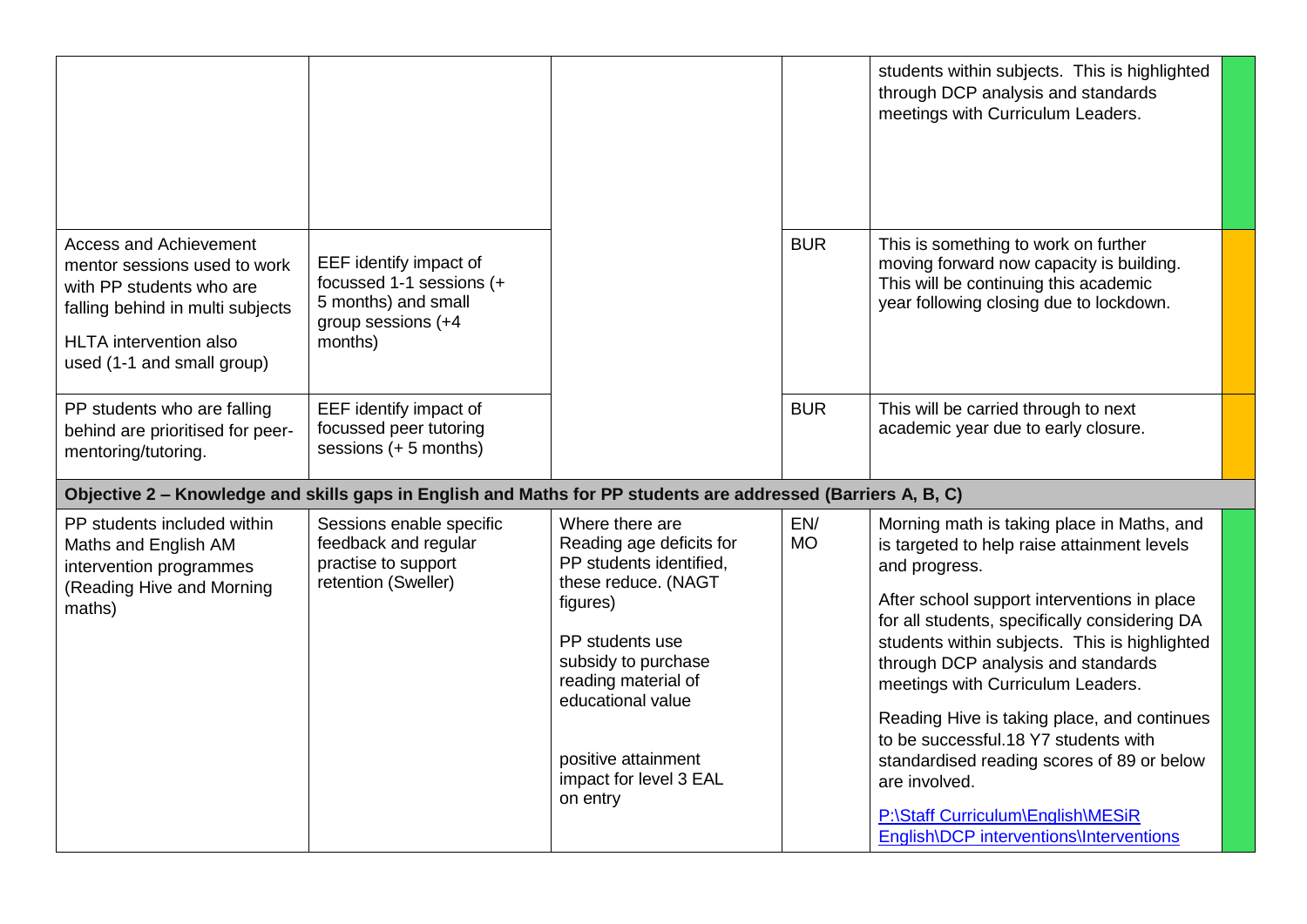|                                                                                                                                                                                              |                                                                                                            |                                                                                                                                                                                                                                                              |                  | students within subjects. This is highlighted<br>through DCP analysis and standards<br>meetings with Curriculum Leaders.                                                                                                                                                                                                                                                                                                                                                                                                                                                     |
|----------------------------------------------------------------------------------------------------------------------------------------------------------------------------------------------|------------------------------------------------------------------------------------------------------------|--------------------------------------------------------------------------------------------------------------------------------------------------------------------------------------------------------------------------------------------------------------|------------------|------------------------------------------------------------------------------------------------------------------------------------------------------------------------------------------------------------------------------------------------------------------------------------------------------------------------------------------------------------------------------------------------------------------------------------------------------------------------------------------------------------------------------------------------------------------------------|
| <b>Access and Achievement</b><br>mentor sessions used to work<br>with PP students who are<br>falling behind in multi subjects<br><b>HLTA</b> intervention also<br>used (1-1 and small group) | EEF identify impact of<br>focussed 1-1 sessions (+<br>5 months) and small<br>group sessions (+4<br>months) |                                                                                                                                                                                                                                                              | <b>BUR</b>       | This is something to work on further<br>moving forward now capacity is building.<br>This will be continuing this academic<br>year following closing due to lockdown.                                                                                                                                                                                                                                                                                                                                                                                                         |
| PP students who are falling<br>behind are prioritised for peer-<br>mentoring/tutoring.                                                                                                       | EEF identify impact of<br>focussed peer tutoring<br>sessions (+ 5 months)                                  |                                                                                                                                                                                                                                                              | <b>BUR</b>       | This will be carried through to next<br>academic year due to early closure.                                                                                                                                                                                                                                                                                                                                                                                                                                                                                                  |
| Objective 2 - Knowledge and skills gaps in English and Maths for PP students are addressed (Barriers A, B, C)                                                                                |                                                                                                            |                                                                                                                                                                                                                                                              |                  |                                                                                                                                                                                                                                                                                                                                                                                                                                                                                                                                                                              |
| PP students included within<br>Maths and English AM<br>intervention programmes<br>(Reading Hive and Morning<br>maths)                                                                        | Sessions enable specific<br>feedback and regular<br>practise to support<br>retention (Sweller)             | Where there are<br>Reading age deficits for<br>PP students identified,<br>these reduce. (NAGT<br>figures)<br>PP students use<br>subsidy to purchase<br>reading material of<br>educational value<br>positive attainment<br>impact for level 3 EAL<br>on entry | EN/<br><b>MO</b> | Morning math is taking place in Maths, and<br>is targeted to help raise attainment levels<br>and progress.<br>After school support interventions in place<br>for all students, specifically considering DA<br>students within subjects. This is highlighted<br>through DCP analysis and standards<br>meetings with Curriculum Leaders.<br>Reading Hive is taking place, and continues<br>to be successful.18 Y7 students with<br>standardised reading scores of 89 or below<br>are involved.<br>P:\Staff Curriculum\English\MESiR<br>English\DCP interventions\Interventions |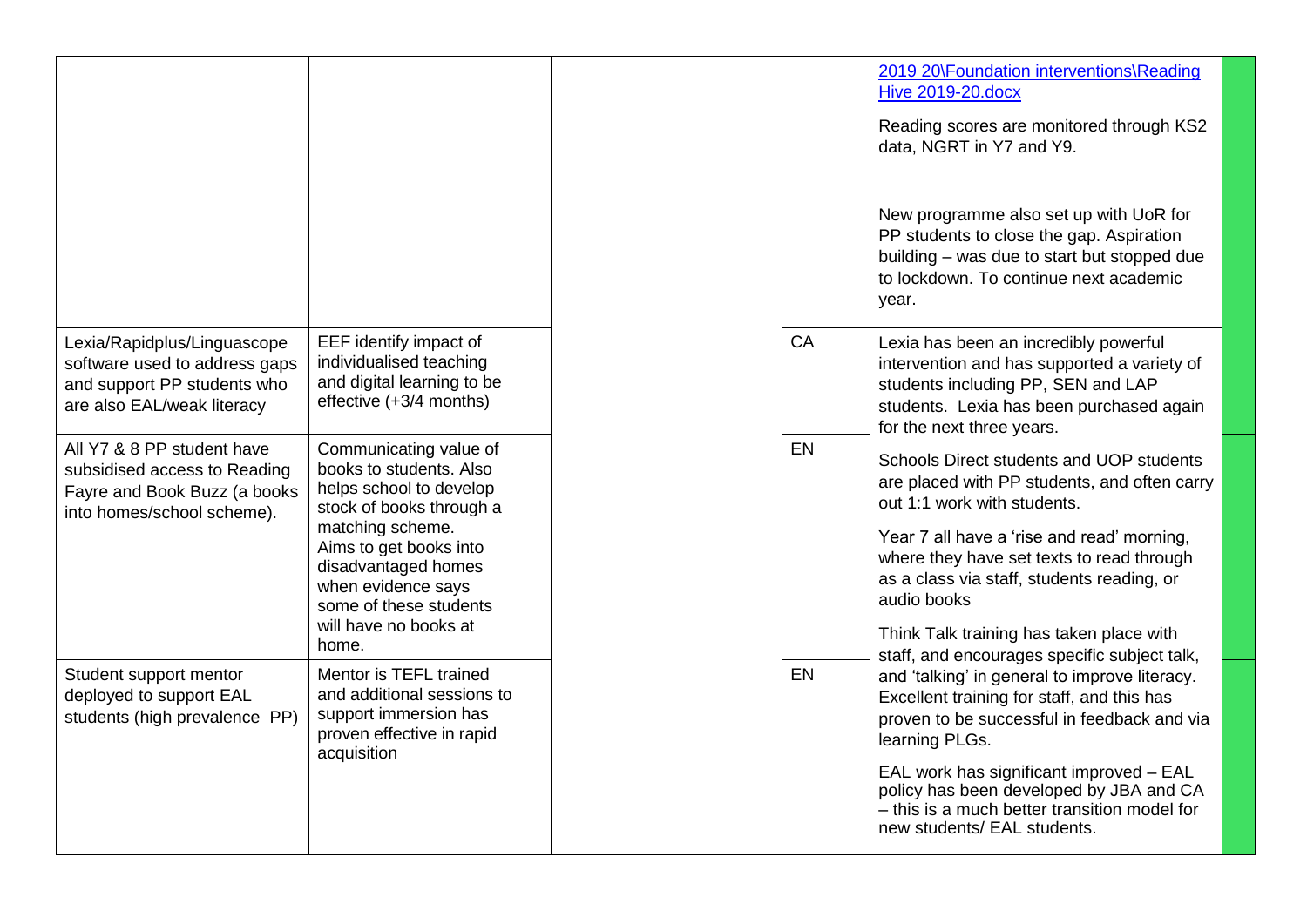|                                                                                                                           |                                                                                                                                                                                                                                                        |    | 2019 20\Foundation interventions\Reading<br><b>Hive 2019-20.docx</b><br>Reading scores are monitored through KS2<br>data, NGRT in Y7 and Y9.<br>New programme also set up with UoR for<br>PP students to close the gap. Aspiration<br>building - was due to start but stopped due<br>to lockdown. To continue next academic<br>year.                                              |
|---------------------------------------------------------------------------------------------------------------------------|--------------------------------------------------------------------------------------------------------------------------------------------------------------------------------------------------------------------------------------------------------|----|-----------------------------------------------------------------------------------------------------------------------------------------------------------------------------------------------------------------------------------------------------------------------------------------------------------------------------------------------------------------------------------|
| Lexia/Rapidplus/Linguascope<br>software used to address gaps<br>and support PP students who<br>are also EAL/weak literacy | EEF identify impact of<br>individualised teaching<br>and digital learning to be<br>effective (+3/4 months)                                                                                                                                             | CA | Lexia has been an incredibly powerful<br>intervention and has supported a variety of<br>students including PP, SEN and LAP<br>students. Lexia has been purchased again<br>for the next three years.                                                                                                                                                                               |
| All Y7 & 8 PP student have<br>subsidised access to Reading<br>Fayre and Book Buzz (a books<br>into homes/school scheme).  | Communicating value of<br>books to students. Also<br>helps school to develop<br>stock of books through a<br>matching scheme.<br>Aims to get books into<br>disadvantaged homes<br>when evidence says<br>some of these students<br>will have no books at | EN | Schools Direct students and UOP students<br>are placed with PP students, and often carry<br>out 1:1 work with students.<br>Year 7 all have a 'rise and read' morning,<br>where they have set texts to read through<br>as a class via staff, students reading, or<br>audio books<br>Think Talk training has taken place with                                                       |
| Student support mentor<br>deployed to support EAL<br>students (high prevalence PP)                                        | home.<br>Mentor is TEFL trained<br>and additional sessions to<br>support immersion has<br>proven effective in rapid<br>acquisition                                                                                                                     | EN | staff, and encourages specific subject talk,<br>and 'talking' in general to improve literacy.<br>Excellent training for staff, and this has<br>proven to be successful in feedback and via<br>learning PLGs.<br>EAL work has significant improved - EAL<br>policy has been developed by JBA and CA<br>- this is a much better transition model for<br>new students/ EAL students. |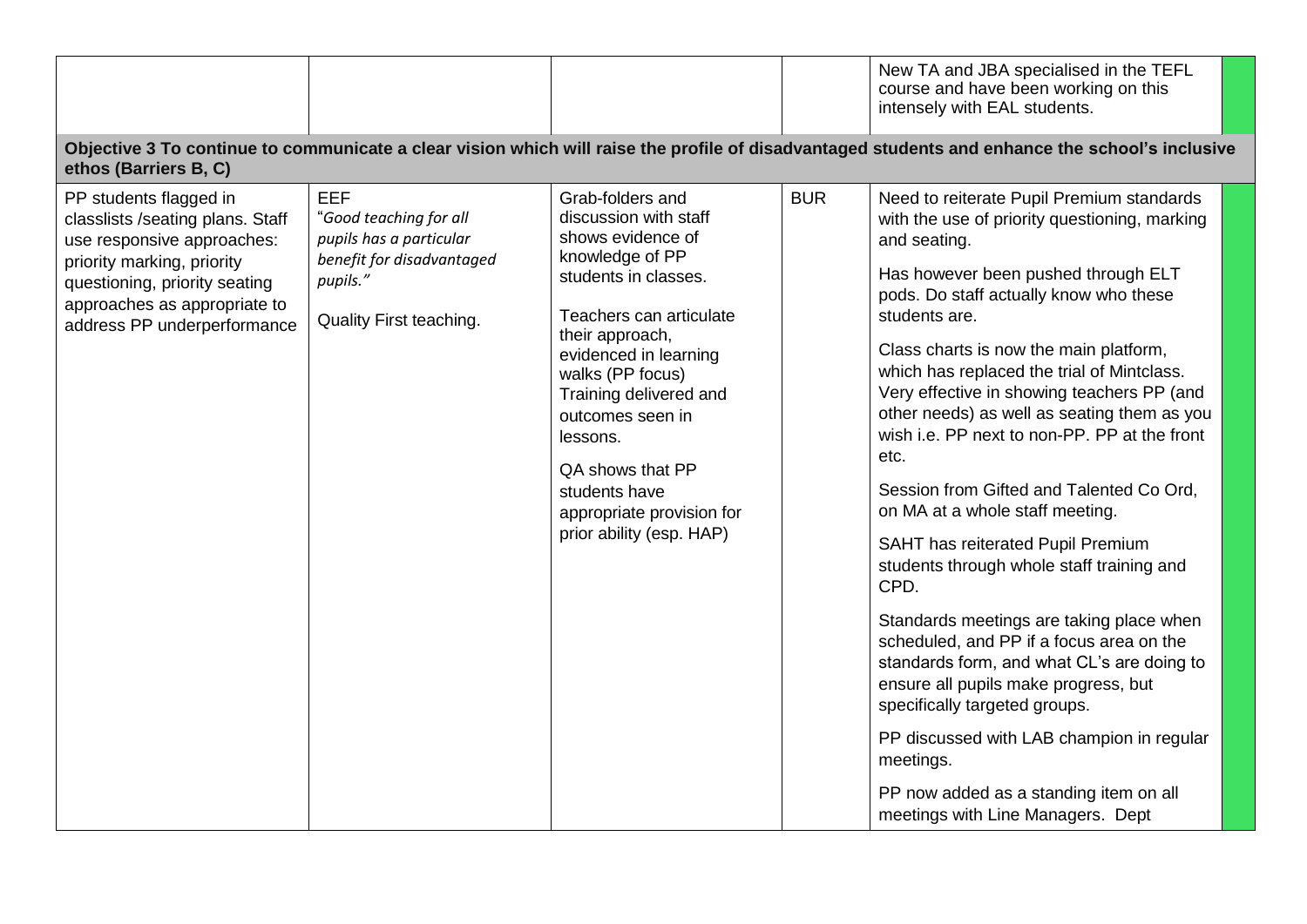|                                                                                                                                                                                                                        |                                                                                                                                     |                                                                                                                                                                                                                                                                                                                                                              |            | New TA and JBA specialised in the TEFL<br>course and have been working on this<br>intensely with EAL students.                                                                                                                                                                                                                                                                                                                                                                                                                                                                                                                                                                                                                                                                                                                                                                                                                                                                             |  |
|------------------------------------------------------------------------------------------------------------------------------------------------------------------------------------------------------------------------|-------------------------------------------------------------------------------------------------------------------------------------|--------------------------------------------------------------------------------------------------------------------------------------------------------------------------------------------------------------------------------------------------------------------------------------------------------------------------------------------------------------|------------|--------------------------------------------------------------------------------------------------------------------------------------------------------------------------------------------------------------------------------------------------------------------------------------------------------------------------------------------------------------------------------------------------------------------------------------------------------------------------------------------------------------------------------------------------------------------------------------------------------------------------------------------------------------------------------------------------------------------------------------------------------------------------------------------------------------------------------------------------------------------------------------------------------------------------------------------------------------------------------------------|--|
| ethos (Barriers B, C)                                                                                                                                                                                                  |                                                                                                                                     |                                                                                                                                                                                                                                                                                                                                                              |            | Objective 3 To continue to communicate a clear vision which will raise the profile of disadvantaged students and enhance the school's inclusive                                                                                                                                                                                                                                                                                                                                                                                                                                                                                                                                                                                                                                                                                                                                                                                                                                            |  |
| PP students flagged in<br>classlists /seating plans. Staff<br>use responsive approaches:<br>priority marking, priority<br>questioning, priority seating<br>approaches as appropriate to<br>address PP underperformance | <b>EEF</b><br>"Good teaching for all<br>pupils has a particular<br>benefit for disadvantaged<br>pupils."<br>Quality First teaching. | Grab-folders and<br>discussion with staff<br>shows evidence of<br>knowledge of PP<br>students in classes.<br>Teachers can articulate<br>their approach,<br>evidenced in learning<br>walks (PP focus)<br>Training delivered and<br>outcomes seen in<br>lessons.<br>QA shows that PP<br>students have<br>appropriate provision for<br>prior ability (esp. HAP) | <b>BUR</b> | Need to reiterate Pupil Premium standards<br>with the use of priority questioning, marking<br>and seating.<br>Has however been pushed through ELT<br>pods. Do staff actually know who these<br>students are.<br>Class charts is now the main platform,<br>which has replaced the trial of Mintclass.<br>Very effective in showing teachers PP (and<br>other needs) as well as seating them as you<br>wish i.e. PP next to non-PP. PP at the front<br>etc.<br>Session from Gifted and Talented Co Ord,<br>on MA at a whole staff meeting.<br>SAHT has reiterated Pupil Premium<br>students through whole staff training and<br>CPD.<br>Standards meetings are taking place when<br>scheduled, and PP if a focus area on the<br>standards form, and what CL's are doing to<br>ensure all pupils make progress, but<br>specifically targeted groups.<br>PP discussed with LAB champion in regular<br>meetings.<br>PP now added as a standing item on all<br>meetings with Line Managers. Dept |  |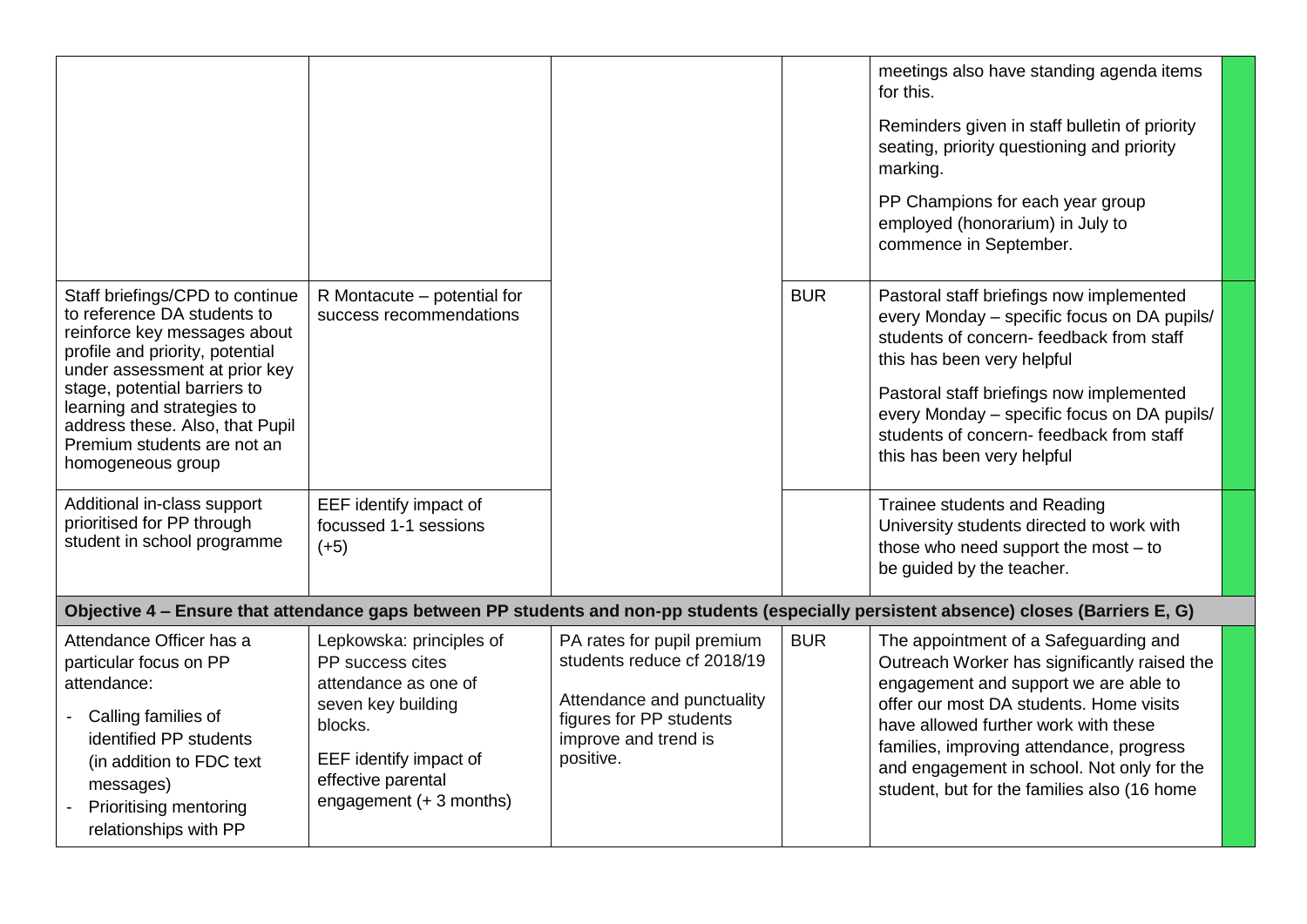|                                                                                                                                                                                                                                                                                                                         |                                                                                                                                                                                  |                                                                                                                                                        |            | meetings also have standing agenda items<br>for this.<br>Reminders given in staff bulletin of priority<br>seating, priority questioning and priority<br>marking.<br>PP Champions for each year group<br>employed (honorarium) in July to<br>commence in September.                                                                                         |
|-------------------------------------------------------------------------------------------------------------------------------------------------------------------------------------------------------------------------------------------------------------------------------------------------------------------------|----------------------------------------------------------------------------------------------------------------------------------------------------------------------------------|--------------------------------------------------------------------------------------------------------------------------------------------------------|------------|------------------------------------------------------------------------------------------------------------------------------------------------------------------------------------------------------------------------------------------------------------------------------------------------------------------------------------------------------------|
| Staff briefings/CPD to continue<br>to reference DA students to<br>reinforce key messages about<br>profile and priority, potential<br>under assessment at prior key<br>stage, potential barriers to<br>learning and strategies to<br>address these. Also, that Pupil<br>Premium students are not an<br>homogeneous group | R Montacute – potential for<br>success recommendations                                                                                                                           |                                                                                                                                                        | <b>BUR</b> | Pastoral staff briefings now implemented<br>every Monday - specific focus on DA pupils/<br>students of concern- feedback from staff<br>this has been very helpful<br>Pastoral staff briefings now implemented<br>every Monday - specific focus on DA pupils/<br>students of concern-feedback from staff<br>this has been very helpful                      |
| Additional in-class support<br>prioritised for PP through<br>student in school programme                                                                                                                                                                                                                                | EEF identify impact of<br>focussed 1-1 sessions<br>$(+5)$                                                                                                                        |                                                                                                                                                        |            | Trainee students and Reading<br>University students directed to work with<br>those who need support the most $-$ to<br>be guided by the teacher.                                                                                                                                                                                                           |
|                                                                                                                                                                                                                                                                                                                         |                                                                                                                                                                                  |                                                                                                                                                        |            | Objective 4 – Ensure that attendance gaps between PP students and non-pp students (especially persistent absence) closes (Barriers E, G)                                                                                                                                                                                                                   |
| Attendance Officer has a<br>particular focus on PP<br>attendance:<br>Calling families of<br>identified PP students<br>(in addition to FDC text)<br>messages)<br><b>Prioritising mentoring</b><br>relationships with PP                                                                                                  | Lepkowska: principles of<br>PP success cites<br>attendance as one of<br>seven key building<br>blocks.<br>EEF identify impact of<br>effective parental<br>engagement (+ 3 months) | PA rates for pupil premium<br>students reduce cf 2018/19<br>Attendance and punctuality<br>figures for PP students<br>improve and trend is<br>positive. | <b>BUR</b> | The appointment of a Safeguarding and<br>Outreach Worker has significantly raised the<br>engagement and support we are able to<br>offer our most DA students. Home visits<br>have allowed further work with these<br>families, improving attendance, progress<br>and engagement in school. Not only for the<br>student, but for the families also (16 home |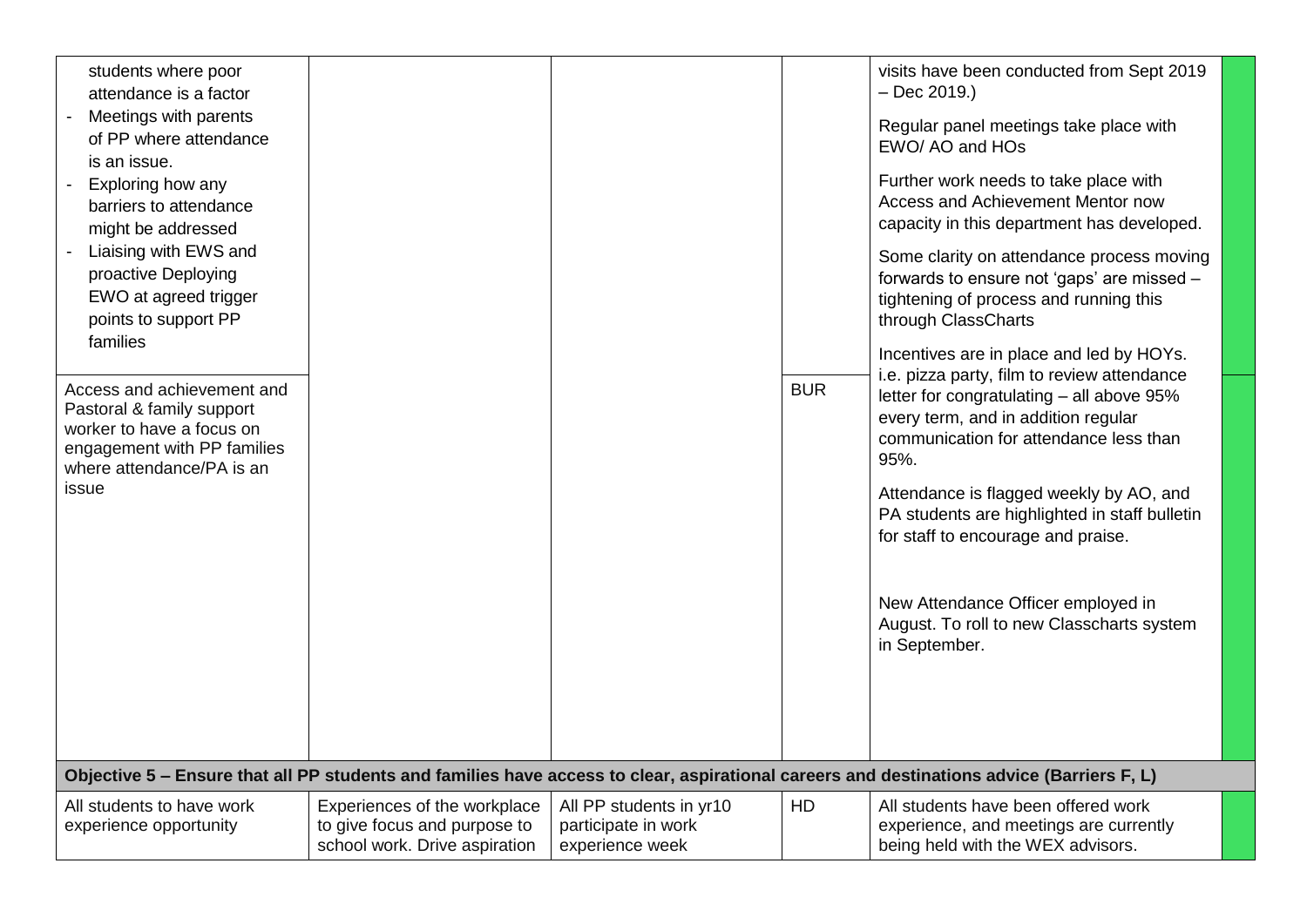| students where poor<br>attendance is a factor                                                                                                    |                                                                                               |                                                                                                                                   |            | visits have been conducted from Sept 2019<br>$-$ Dec 2019.)                                                                                                                       |  |
|--------------------------------------------------------------------------------------------------------------------------------------------------|-----------------------------------------------------------------------------------------------|-----------------------------------------------------------------------------------------------------------------------------------|------------|-----------------------------------------------------------------------------------------------------------------------------------------------------------------------------------|--|
| Meetings with parents<br>of PP where attendance                                                                                                  |                                                                                               |                                                                                                                                   |            | Regular panel meetings take place with<br>EWO/AO and HOs                                                                                                                          |  |
| is an issue.<br>Exploring how any<br>barriers to attendance<br>might be addressed                                                                |                                                                                               |                                                                                                                                   |            | Further work needs to take place with<br>Access and Achievement Mentor now<br>capacity in this department has developed.                                                          |  |
| Liaising with EWS and<br>proactive Deploying<br>EWO at agreed trigger<br>points to support PP                                                    | through ClassCharts                                                                           | Some clarity on attendance process moving<br>forwards to ensure not 'gaps' are missed -<br>tightening of process and running this |            |                                                                                                                                                                                   |  |
| families                                                                                                                                         |                                                                                               |                                                                                                                                   |            | Incentives are in place and led by HOYs.                                                                                                                                          |  |
| Access and achievement and<br>Pastoral & family support<br>worker to have a focus on<br>engagement with PP families<br>where attendance/PA is an |                                                                                               |                                                                                                                                   | <b>BUR</b> | i.e. pizza party, film to review attendance<br>letter for congratulating - all above 95%<br>every term, and in addition regular<br>communication for attendance less than<br>95%. |  |
| issue                                                                                                                                            |                                                                                               |                                                                                                                                   |            | Attendance is flagged weekly by AO, and<br>PA students are highlighted in staff bulletin<br>for staff to encourage and praise.                                                    |  |
|                                                                                                                                                  |                                                                                               |                                                                                                                                   |            | New Attendance Officer employed in<br>August. To roll to new Classcharts system<br>in September.                                                                                  |  |
|                                                                                                                                                  |                                                                                               |                                                                                                                                   |            |                                                                                                                                                                                   |  |
|                                                                                                                                                  |                                                                                               |                                                                                                                                   |            | Objective 5 - Ensure that all PP students and families have access to clear, aspirational careers and destinations advice (Barriers F, L)                                         |  |
| All students to have work<br>experience opportunity                                                                                              | Experiences of the workplace<br>to give focus and purpose to<br>school work. Drive aspiration | All PP students in yr10<br>participate in work<br>experience week                                                                 | HD         | All students have been offered work<br>experience, and meetings are currently<br>being held with the WEX advisors.                                                                |  |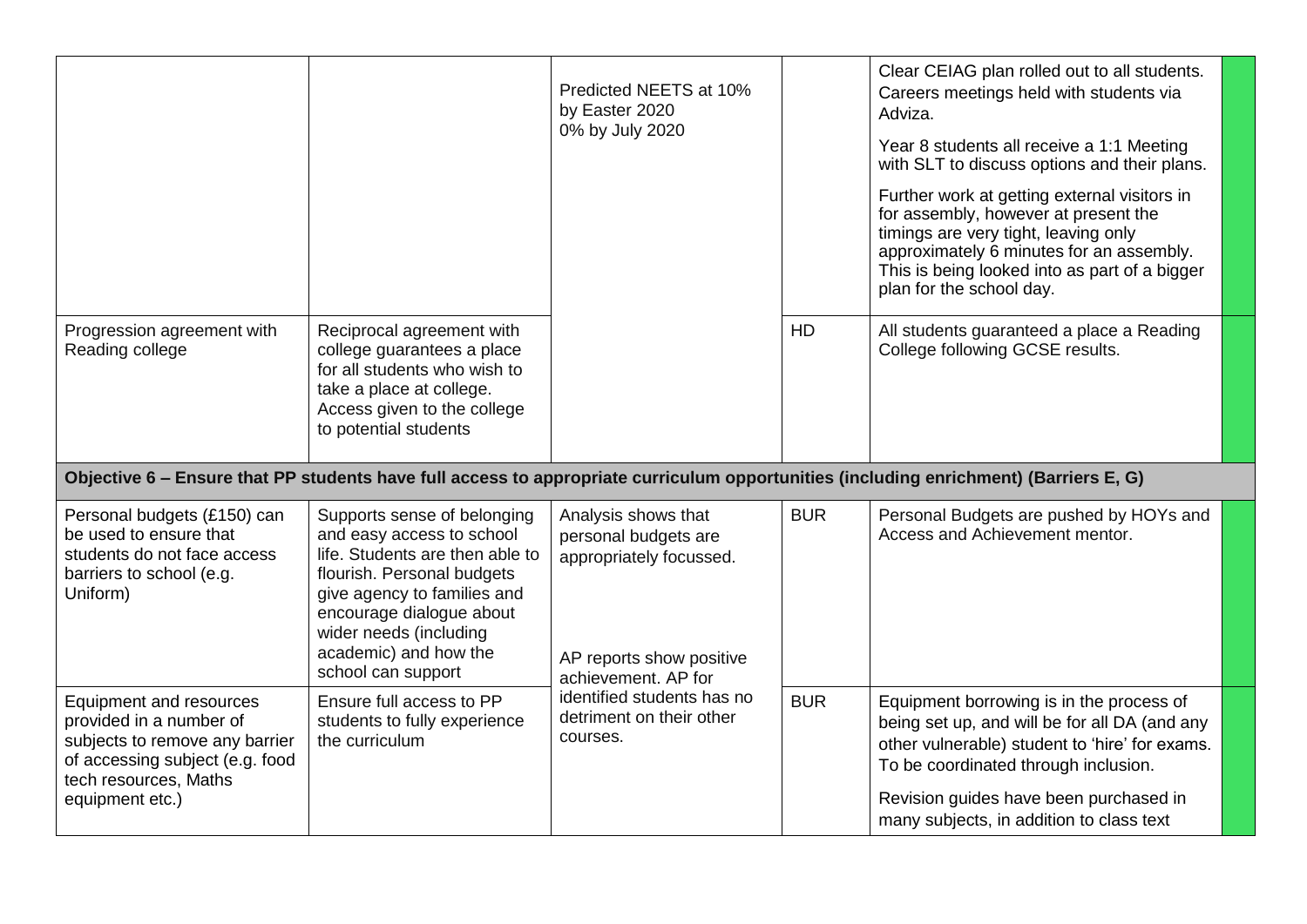|                                                                                                                                                  |                                                                                                                                                                                                                                                               | Predicted NEETS at 10%<br>by Easter 2020<br>0% by July 2020                                                               |            | Clear CEIAG plan rolled out to all students.<br>Careers meetings held with students via<br>Adviza.<br>Year 8 students all receive a 1:1 Meeting<br>with SLT to discuss options and their plans.                                                       |
|--------------------------------------------------------------------------------------------------------------------------------------------------|---------------------------------------------------------------------------------------------------------------------------------------------------------------------------------------------------------------------------------------------------------------|---------------------------------------------------------------------------------------------------------------------------|------------|-------------------------------------------------------------------------------------------------------------------------------------------------------------------------------------------------------------------------------------------------------|
|                                                                                                                                                  |                                                                                                                                                                                                                                                               |                                                                                                                           |            | Further work at getting external visitors in<br>for assembly, however at present the<br>timings are very tight, leaving only<br>approximately 6 minutes for an assembly.<br>This is being looked into as part of a bigger<br>plan for the school day. |
| Progression agreement with<br>Reading college                                                                                                    | Reciprocal agreement with<br>college guarantees a place<br>for all students who wish to<br>take a place at college.<br>Access given to the college<br>to potential students                                                                                   |                                                                                                                           | HD         | All students guaranteed a place a Reading<br>College following GCSE results.                                                                                                                                                                          |
|                                                                                                                                                  |                                                                                                                                                                                                                                                               |                                                                                                                           |            | Objective 6 - Ensure that PP students have full access to appropriate curriculum opportunities (including enrichment) (Barriers E, G)                                                                                                                 |
| Personal budgets (£150) can<br>be used to ensure that<br>students do not face access<br>barriers to school (e.g.<br>Uniform)                     | Supports sense of belonging<br>and easy access to school<br>life. Students are then able to<br>flourish. Personal budgets<br>give agency to families and<br>encourage dialogue about<br>wider needs (including<br>academic) and how the<br>school can support | Analysis shows that<br>personal budgets are<br>appropriately focussed.<br>AP reports show positive<br>achievement. AP for | <b>BUR</b> | Personal Budgets are pushed by HOYs and<br>Access and Achievement mentor.                                                                                                                                                                             |
| Equipment and resources<br>provided in a number of<br>subjects to remove any barrier<br>of accessing subject (e.g. food<br>tech resources, Maths | Ensure full access to PP<br>students to fully experience<br>the curriculum                                                                                                                                                                                    | identified students has no<br>detriment on their other<br>courses.                                                        | <b>BUR</b> | Equipment borrowing is in the process of<br>being set up, and will be for all DA (and any<br>other vulnerable) student to 'hire' for exams.<br>To be coordinated through inclusion.                                                                   |
| equipment etc.)                                                                                                                                  |                                                                                                                                                                                                                                                               |                                                                                                                           |            | Revision guides have been purchased in<br>many subjects, in addition to class text                                                                                                                                                                    |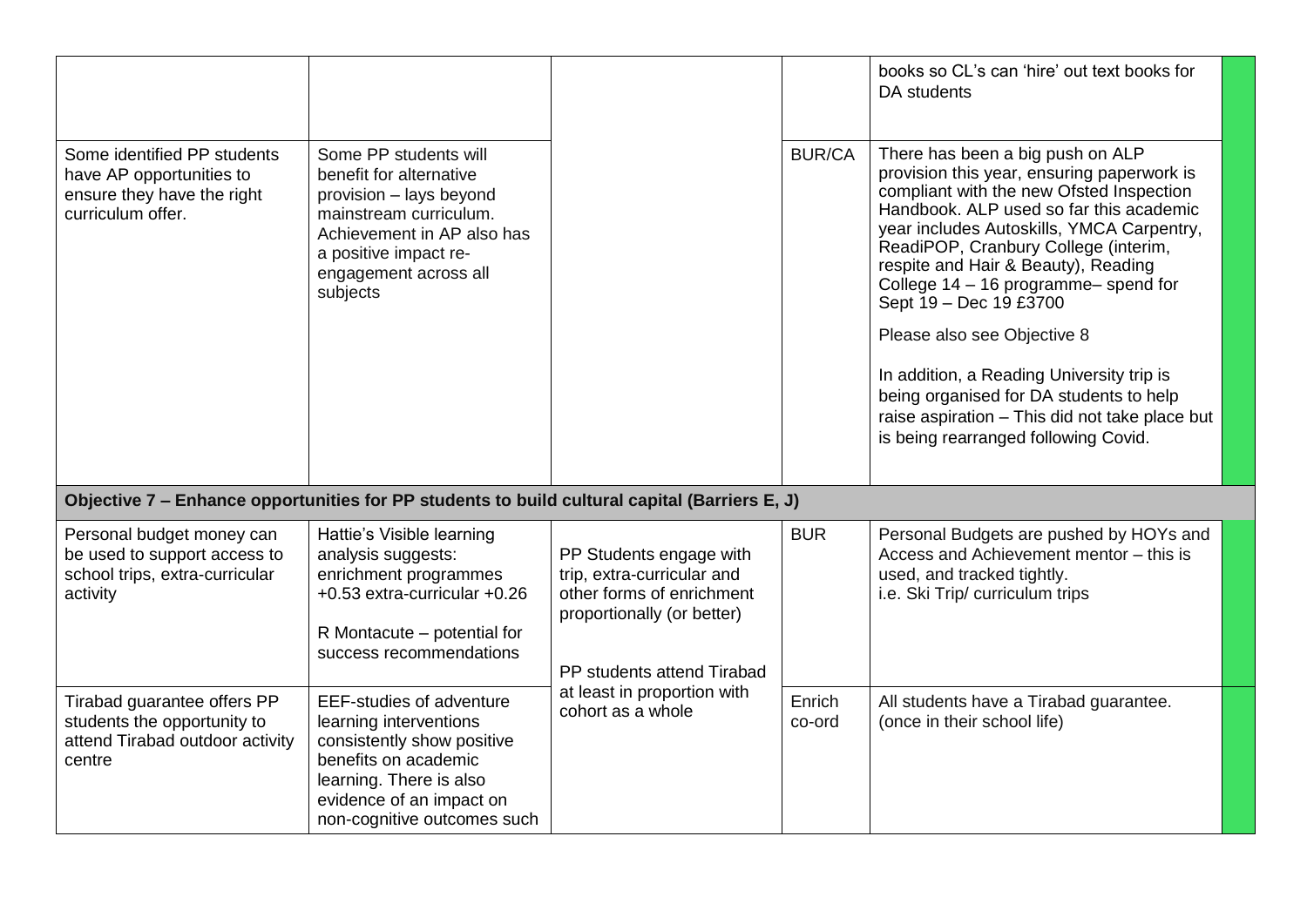|                                                                                                            |                                                                                                                                                                                                       |                                                                                                                                                |                  | books so CL's can 'hire' out text books for<br>DA students                                                                                                                                                                                                                                                                                                                                                                                                                                                                                                                          |  |
|------------------------------------------------------------------------------------------------------------|-------------------------------------------------------------------------------------------------------------------------------------------------------------------------------------------------------|------------------------------------------------------------------------------------------------------------------------------------------------|------------------|-------------------------------------------------------------------------------------------------------------------------------------------------------------------------------------------------------------------------------------------------------------------------------------------------------------------------------------------------------------------------------------------------------------------------------------------------------------------------------------------------------------------------------------------------------------------------------------|--|
| Some identified PP students<br>have AP opportunities to<br>ensure they have the right<br>curriculum offer. | Some PP students will<br>benefit for alternative<br>provision - lays beyond<br>mainstream curriculum.<br>Achievement in AP also has<br>a positive impact re-<br>engagement across all<br>subjects     |                                                                                                                                                | <b>BUR/CA</b>    | There has been a big push on ALP<br>provision this year, ensuring paperwork is<br>compliant with the new Ofsted Inspection<br>Handbook. ALP used so far this academic<br>year includes Autoskills, YMCA Carpentry,<br>ReadiPOP, Cranbury College (interim,<br>respite and Hair & Beauty), Reading<br>College 14 - 16 programme-spend for<br>Sept 19 - Dec 19 £3700<br>Please also see Objective 8<br>In addition, a Reading University trip is<br>being organised for DA students to help<br>raise aspiration - This did not take place but<br>is being rearranged following Covid. |  |
|                                                                                                            | Objective 7 – Enhance opportunities for PP students to build cultural capital (Barriers E, J)                                                                                                         |                                                                                                                                                |                  |                                                                                                                                                                                                                                                                                                                                                                                                                                                                                                                                                                                     |  |
| Personal budget money can<br>be used to support access to<br>school trips, extra-curricular<br>activity    | Hattie's Visible learning<br>analysis suggests:<br>enrichment programmes<br>+0.53 extra-curricular +0.26<br>R Montacute – potential for<br>success recommendations                                    | PP Students engage with<br>trip, extra-curricular and<br>other forms of enrichment<br>proportionally (or better)<br>PP students attend Tirabad | <b>BUR</b>       | Personal Budgets are pushed by HOYs and<br>Access and Achievement mentor - this is<br>used, and tracked tightly.<br>i.e. Ski Trip/ curriculum trips                                                                                                                                                                                                                                                                                                                                                                                                                                 |  |
| Tirabad guarantee offers PP<br>students the opportunity to<br>attend Tirabad outdoor activity<br>centre    | <b>EEF-studies of adventure</b><br>learning interventions<br>consistently show positive<br>benefits on academic<br>learning. There is also<br>evidence of an impact on<br>non-cognitive outcomes such | at least in proportion with<br>cohort as a whole                                                                                               | Enrich<br>co-ord | All students have a Tirabad guarantee.<br>(once in their school life)                                                                                                                                                                                                                                                                                                                                                                                                                                                                                                               |  |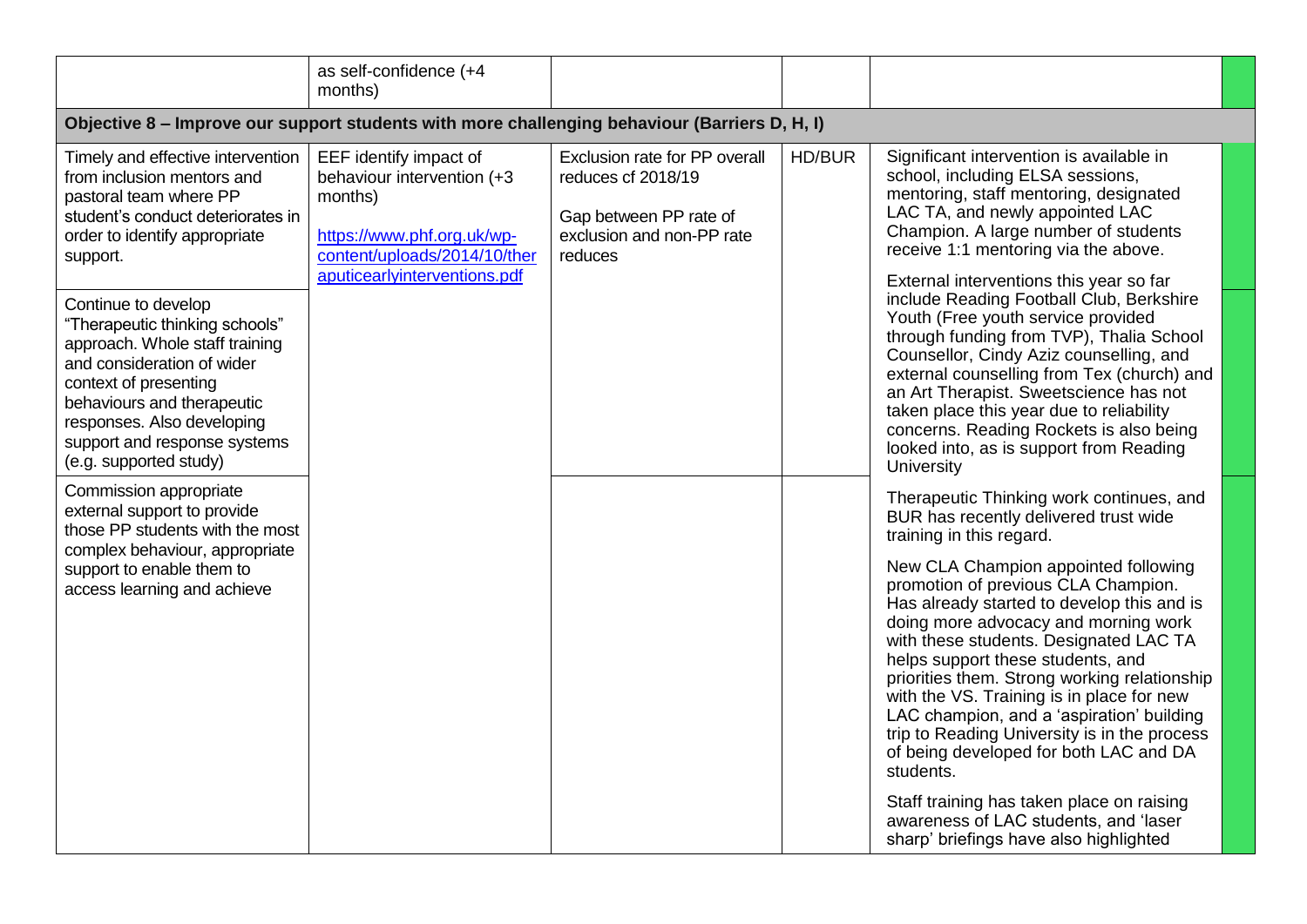|                                                                                                                                                                                                                                                                      | as self-confidence (+4<br>months)                                                                                                                             |                                                                                                                       |        |                                                                                                                                                                                                                                                                                                                                                                                                                                                                                                   |  |
|----------------------------------------------------------------------------------------------------------------------------------------------------------------------------------------------------------------------------------------------------------------------|---------------------------------------------------------------------------------------------------------------------------------------------------------------|-----------------------------------------------------------------------------------------------------------------------|--------|---------------------------------------------------------------------------------------------------------------------------------------------------------------------------------------------------------------------------------------------------------------------------------------------------------------------------------------------------------------------------------------------------------------------------------------------------------------------------------------------------|--|
| Objective 8 – Improve our support students with more challenging behaviour (Barriers D, H, I)                                                                                                                                                                        |                                                                                                                                                               |                                                                                                                       |        |                                                                                                                                                                                                                                                                                                                                                                                                                                                                                                   |  |
| Timely and effective intervention<br>from inclusion mentors and<br>pastoral team where PP<br>student's conduct deteriorates in<br>order to identify appropriate<br>support.                                                                                          | EEF identify impact of<br>behaviour intervention (+3<br>months)<br>https://www.phf.org.uk/wp-<br>content/uploads/2014/10/ther<br>aputicearlyinterventions.pdf | Exclusion rate for PP overall<br>reduces cf 2018/19<br>Gap between PP rate of<br>exclusion and non-PP rate<br>reduces | HD/BUR | Significant intervention is available in<br>school, including ELSA sessions,<br>mentoring, staff mentoring, designated<br>LAC TA, and newly appointed LAC<br>Champion. A large number of students<br>receive 1:1 mentoring via the above.<br>External interventions this year so far                                                                                                                                                                                                              |  |
| Continue to develop<br>"Therapeutic thinking schools"<br>approach. Whole staff training<br>and consideration of wider<br>context of presenting<br>behaviours and therapeutic<br>responses. Also developing<br>support and response systems<br>(e.g. supported study) |                                                                                                                                                               |                                                                                                                       |        | include Reading Football Club, Berkshire<br>Youth (Free youth service provided<br>through funding from TVP), Thalia School<br>Counsellor, Cindy Aziz counselling, and<br>external counselling from Tex (church) and<br>an Art Therapist. Sweetscience has not<br>taken place this year due to reliability<br>concerns. Reading Rockets is also being<br>looked into, as is support from Reading<br>University                                                                                     |  |
| Commission appropriate<br>external support to provide<br>those PP students with the most                                                                                                                                                                             |                                                                                                                                                               |                                                                                                                       |        | Therapeutic Thinking work continues, and<br>BUR has recently delivered trust wide<br>training in this regard.                                                                                                                                                                                                                                                                                                                                                                                     |  |
| complex behaviour, appropriate<br>support to enable them to<br>access learning and achieve                                                                                                                                                                           |                                                                                                                                                               |                                                                                                                       |        | New CLA Champion appointed following<br>promotion of previous CLA Champion.<br>Has already started to develop this and is<br>doing more advocacy and morning work<br>with these students. Designated LAC TA<br>helps support these students, and<br>priorities them. Strong working relationship<br>with the VS. Training is in place for new<br>LAC champion, and a 'aspiration' building<br>trip to Reading University is in the process<br>of being developed for both LAC and DA<br>students. |  |
|                                                                                                                                                                                                                                                                      |                                                                                                                                                               |                                                                                                                       |        | Staff training has taken place on raising<br>awareness of LAC students, and 'laser<br>sharp' briefings have also highlighted                                                                                                                                                                                                                                                                                                                                                                      |  |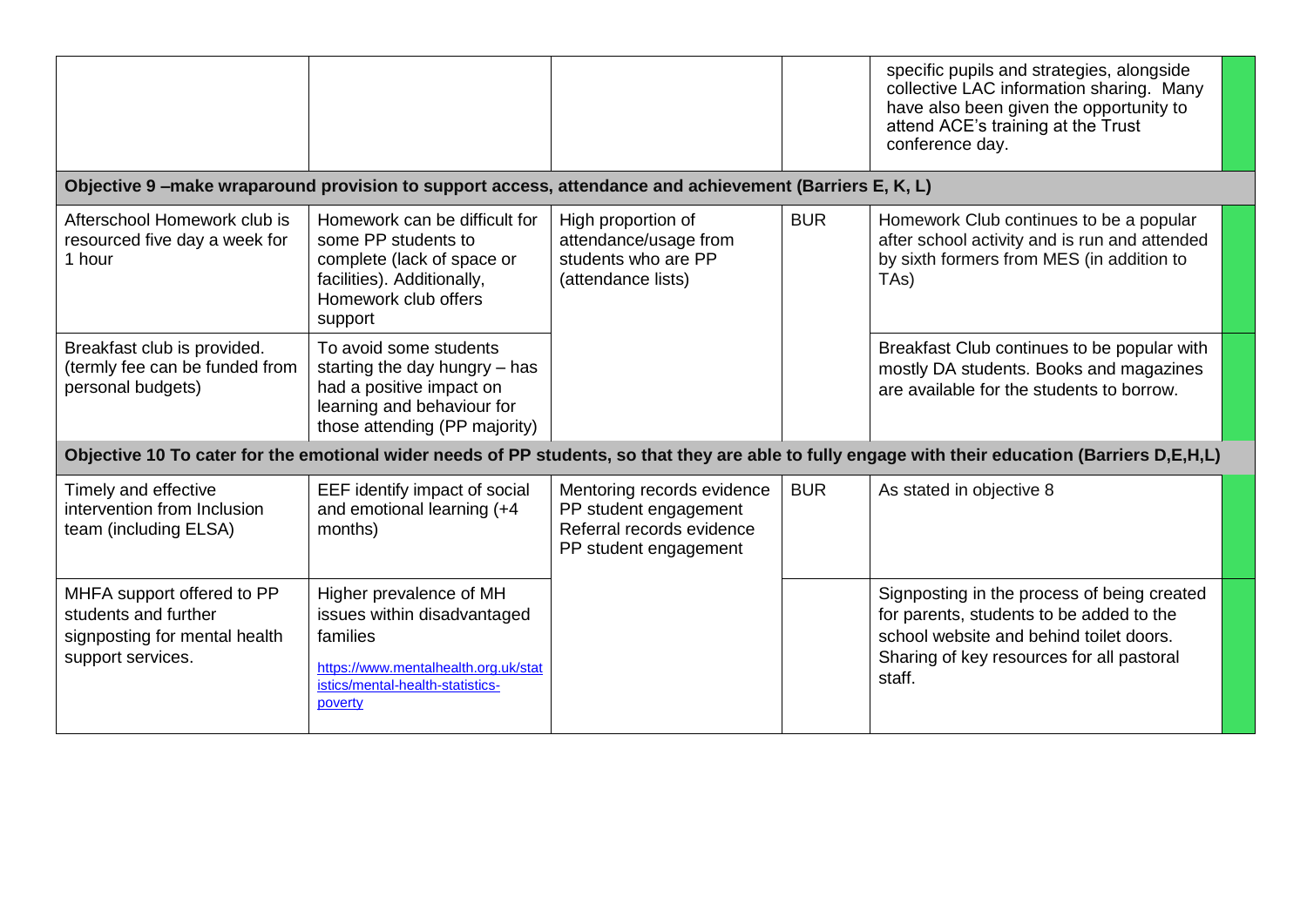|                                                                                                          |                                                                                                                                                           |                                                                                                           |            | specific pupils and strategies, alongside<br>collective LAC information sharing. Many<br>have also been given the opportunity to<br>attend ACE's training at the Trust<br>conference day. |  |  |  |  |  |  |  |
|----------------------------------------------------------------------------------------------------------|-----------------------------------------------------------------------------------------------------------------------------------------------------------|-----------------------------------------------------------------------------------------------------------|------------|-------------------------------------------------------------------------------------------------------------------------------------------------------------------------------------------|--|--|--|--|--|--|--|
|                                                                                                          | Objective 9-make wraparound provision to support access, attendance and achievement (Barriers E, K, L)                                                    |                                                                                                           |            |                                                                                                                                                                                           |  |  |  |  |  |  |  |
| Afterschool Homework club is<br>resourced five day a week for<br>1 hour                                  | Homework can be difficult for<br>some PP students to<br>complete (lack of space or<br>facilities). Additionally,<br>Homework club offers<br>support       | High proportion of<br>attendance/usage from<br>students who are PP<br>(attendance lists)                  | <b>BUR</b> | Homework Club continues to be a popular<br>after school activity and is run and attended<br>by sixth formers from MES (in addition to<br>TA <sub>s</sub> )                                |  |  |  |  |  |  |  |
| Breakfast club is provided.<br>(termly fee can be funded from<br>personal budgets)                       | To avoid some students<br>starting the day hungry $-$ has<br>had a positive impact on<br>learning and behaviour for<br>those attending (PP majority)      |                                                                                                           |            | Breakfast Club continues to be popular with<br>mostly DA students. Books and magazines<br>are available for the students to borrow.                                                       |  |  |  |  |  |  |  |
|                                                                                                          |                                                                                                                                                           |                                                                                                           |            | Objective 10 To cater for the emotional wider needs of PP students, so that they are able to fully engage with their education (Barriers D,E,H,L)                                         |  |  |  |  |  |  |  |
| Timely and effective<br>intervention from Inclusion<br>team (including ELSA)                             | EEF identify impact of social<br>and emotional learning (+4<br>months)                                                                                    | Mentoring records evidence<br>PP student engagement<br>Referral records evidence<br>PP student engagement | <b>BUR</b> | As stated in objective 8                                                                                                                                                                  |  |  |  |  |  |  |  |
| MHFA support offered to PP<br>students and further<br>signposting for mental health<br>support services. | Higher prevalence of MH<br>issues within disadvantaged<br>families<br>https://www.mentalhealth.org.uk/stat<br>istics/mental-health-statistics-<br>poverty |                                                                                                           |            | Signposting in the process of being created<br>for parents, students to be added to the<br>school website and behind toilet doors.<br>Sharing of key resources for all pastoral<br>staff. |  |  |  |  |  |  |  |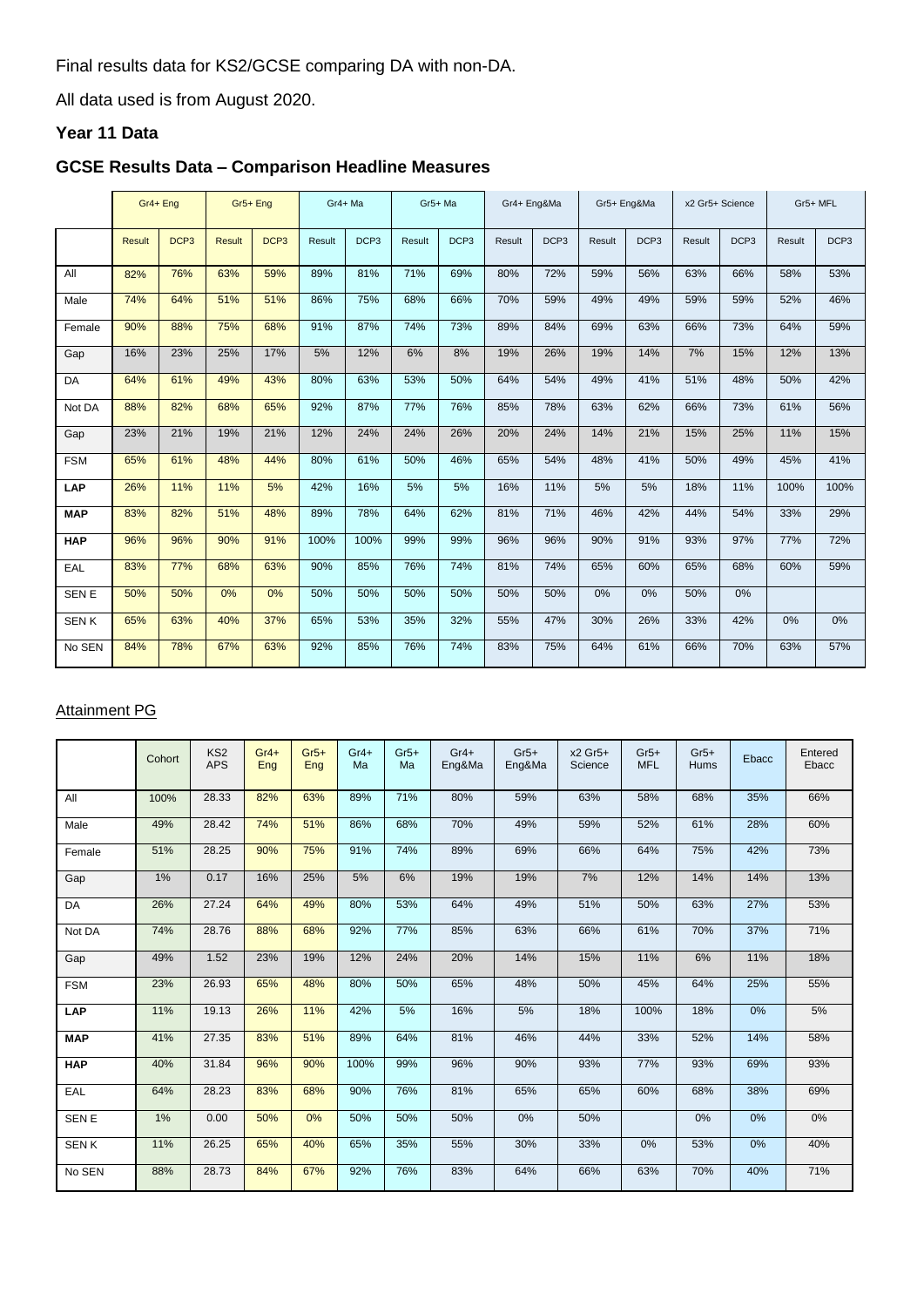Final results data for KS2/GCSE comparing DA with non-DA.

All data used is from August 2020.

### **Year 11 Data**

# **GCSE Results Data – Comparison Headline Measures**

|              |               | Gr4+ Eng         |               | Gr5+ Eng         |        | Gr4+Ma           |        | Gr4+ Eng&Ma<br>Gr5+ Ma |        |                  | Gr5+ Eng&Ma |                  | x2 Gr5+ Science |                  | Gr5+ MFL |                  |
|--------------|---------------|------------------|---------------|------------------|--------|------------------|--------|------------------------|--------|------------------|-------------|------------------|-----------------|------------------|----------|------------------|
|              | <b>Result</b> | DCP <sub>3</sub> | <b>Result</b> | DCP <sub>3</sub> | Result | DCP <sub>3</sub> | Result | DCP <sub>3</sub>       | Result | DCP <sub>3</sub> | Result      | DCP <sub>3</sub> | Result          | DCP <sub>3</sub> | Result   | DCP <sub>3</sub> |
| All          | 82%           | 76%              | 63%           | 59%              | 89%    | 81%              | 71%    | 69%                    | 80%    | 72%              | 59%         | 56%              | 63%             | 66%              | 58%      | 53%              |
| Male         | 74%           | 64%              | 51%           | 51%              | 86%    | 75%              | 68%    | 66%                    | 70%    | 59%              | 49%         | 49%              | 59%             | 59%              | 52%      | 46%              |
| Female       | 90%           | 88%              | 75%           | 68%              | 91%    | 87%              | 74%    | 73%                    | 89%    | 84%              | 69%         | 63%              | 66%             | 73%              | 64%      | 59%              |
| Gap          | 16%           | 23%              | 25%           | 17%              | 5%     | 12%              | 6%     | 8%                     | 19%    | 26%              | 19%         | 14%              | 7%              | 15%              | 12%      | 13%              |
| <b>DA</b>    | 64%           | 61%              | 49%           | 43%              | 80%    | 63%              | 53%    | 50%                    | 64%    | 54%              | 49%         | 41%              | 51%             | 48%              | 50%      | 42%              |
| Not DA       | 88%           | 82%              | 68%           | 65%              | 92%    | 87%              | 77%    | 76%                    | 85%    | 78%              | 63%         | 62%              | 66%             | 73%              | 61%      | 56%              |
| Gap          | 23%           | 21%              | 19%           | 21%              | 12%    | 24%              | 24%    | 26%                    | 20%    | 24%              | 14%         | 21%              | 15%             | 25%              | 11%      | 15%              |
| <b>FSM</b>   | 65%           | 61%              | 48%           | 44%              | 80%    | 61%              | 50%    | 46%                    | 65%    | 54%              | 48%         | 41%              | 50%             | 49%              | 45%      | 41%              |
| LAP          | 26%           | 11%              | 11%           | 5%               | 42%    | 16%              | 5%     | 5%                     | 16%    | 11%              | 5%          | 5%               | 18%             | 11%              | 100%     | 100%             |
| <b>MAP</b>   | 83%           | 82%              | 51%           | 48%              | 89%    | 78%              | 64%    | 62%                    | 81%    | 71%              | 46%         | 42%              | 44%             | 54%              | 33%      | 29%              |
| <b>HAP</b>   | 96%           | 96%              | 90%           | 91%              | 100%   | 100%             | 99%    | 99%                    | 96%    | 96%              | 90%         | 91%              | 93%             | 97%              | 77%      | 72%              |
| EAL          | 83%           | 77%              | 68%           | 63%              | 90%    | 85%              | 76%    | 74%                    | 81%    | 74%              | 65%         | 60%              | 65%             | 68%              | 60%      | 59%              |
| <b>SEN E</b> | 50%           | 50%              | 0%            | 0%               | 50%    | 50%              | 50%    | 50%                    | 50%    | 50%              | 0%          | 0%               | 50%             | 0%               |          |                  |
| <b>SENK</b>  | 65%           | 63%              | 40%           | 37%              | 65%    | 53%              | 35%    | 32%                    | 55%    | 47%              | 30%         | 26%              | 33%             | 42%              | 0%       | 0%               |
| No SEN       | 84%           | 78%              | 67%           | 63%              | 92%    | 85%              | 76%    | 74%                    | 83%    | 75%              | 64%         | 61%              | 66%             | 70%              | 63%      | 57%              |

# Attainment PG

|              | Cohort | KS <sub>2</sub><br><b>APS</b> | $Gr4+$<br>Eng | $Gr5+$<br>Eng | $Gr4+$<br>Ma | $Gr5+$<br>Ma | $Gr4+$<br>Eng&Ma | $Gr5+$<br>Eng&Ma | x2 Gr5+<br>Science | $Gr5+$<br><b>MFL</b> | $Gr5+$<br><b>Hums</b> | Ebacc | Entered<br>Ebacc |
|--------------|--------|-------------------------------|---------------|---------------|--------------|--------------|------------------|------------------|--------------------|----------------------|-----------------------|-------|------------------|
| All          | 100%   | 28.33                         | 82%           | 63%           | 89%          | 71%          | 80%              | 59%              | 63%                | 58%                  | 68%                   | 35%   | 66%              |
| Male         | 49%    | 28.42                         | 74%           | 51%           | 86%          | 68%          | 70%              | 49%              | 59%                | 52%                  | 61%                   | 28%   | 60%              |
| Female       | 51%    | 28.25                         | 90%           | 75%           | 91%          | 74%          | 89%              | 69%              | 66%                | 64%                  | 75%                   | 42%   | 73%              |
| Gap          | 1%     | 0.17                          | 16%           | 25%           | 5%           | 6%           | 19%              | 19%              | 7%                 | 12%                  | 14%                   | 14%   | 13%              |
| DA           | 26%    | 27.24                         | 64%           | 49%           | 80%          | 53%          | 64%              | 49%              | 51%                | 50%                  | 63%                   | 27%   | 53%              |
| Not DA       | 74%    | 28.76                         | 88%           | 68%           | 92%          | 77%          | 85%              | 63%              | 66%                | 61%                  | 70%                   | 37%   | 71%              |
| Gap          | 49%    | 1.52                          | 23%           | 19%           | 12%          | 24%          | 20%              | 14%              | 15%                | 11%                  | 6%                    | 11%   | 18%              |
| <b>FSM</b>   | 23%    | 26.93                         | 65%           | 48%           | 80%          | 50%          | 65%              | 48%              | 50%                | 45%                  | 64%                   | 25%   | 55%              |
| <b>LAP</b>   | 11%    | 19.13                         | 26%           | 11%           | 42%          | 5%           | 16%              | 5%               | 18%                | 100%                 | 18%                   | 0%    | 5%               |
| <b>MAP</b>   | 41%    | 27.35                         | 83%           | 51%           | 89%          | 64%          | 81%              | 46%              | 44%                | 33%                  | 52%                   | 14%   | 58%              |
| <b>HAP</b>   | 40%    | 31.84                         | 96%           | 90%           | 100%         | 99%          | 96%              | 90%              | 93%                | 77%                  | 93%                   | 69%   | 93%              |
| EAL          | 64%    | 28.23                         | 83%           | 68%           | 90%          | 76%          | 81%              | 65%              | 65%                | 60%                  | 68%                   | 38%   | 69%              |
| <b>SEN E</b> | 1%     | 0.00                          | 50%           | 0%            | 50%          | 50%          | 50%              | 0%               | 50%                |                      | 0%                    | 0%    | 0%               |
| <b>SENK</b>  | 11%    | 26.25                         | 65%           | 40%           | 65%          | 35%          | 55%              | 30%              | 33%                | 0%                   | 53%                   | 0%    | 40%              |
| No SEN       | 88%    | 28.73                         | 84%           | 67%           | 92%          | 76%          | 83%              | 64%              | 66%                | 63%                  | 70%                   | 40%   | 71%              |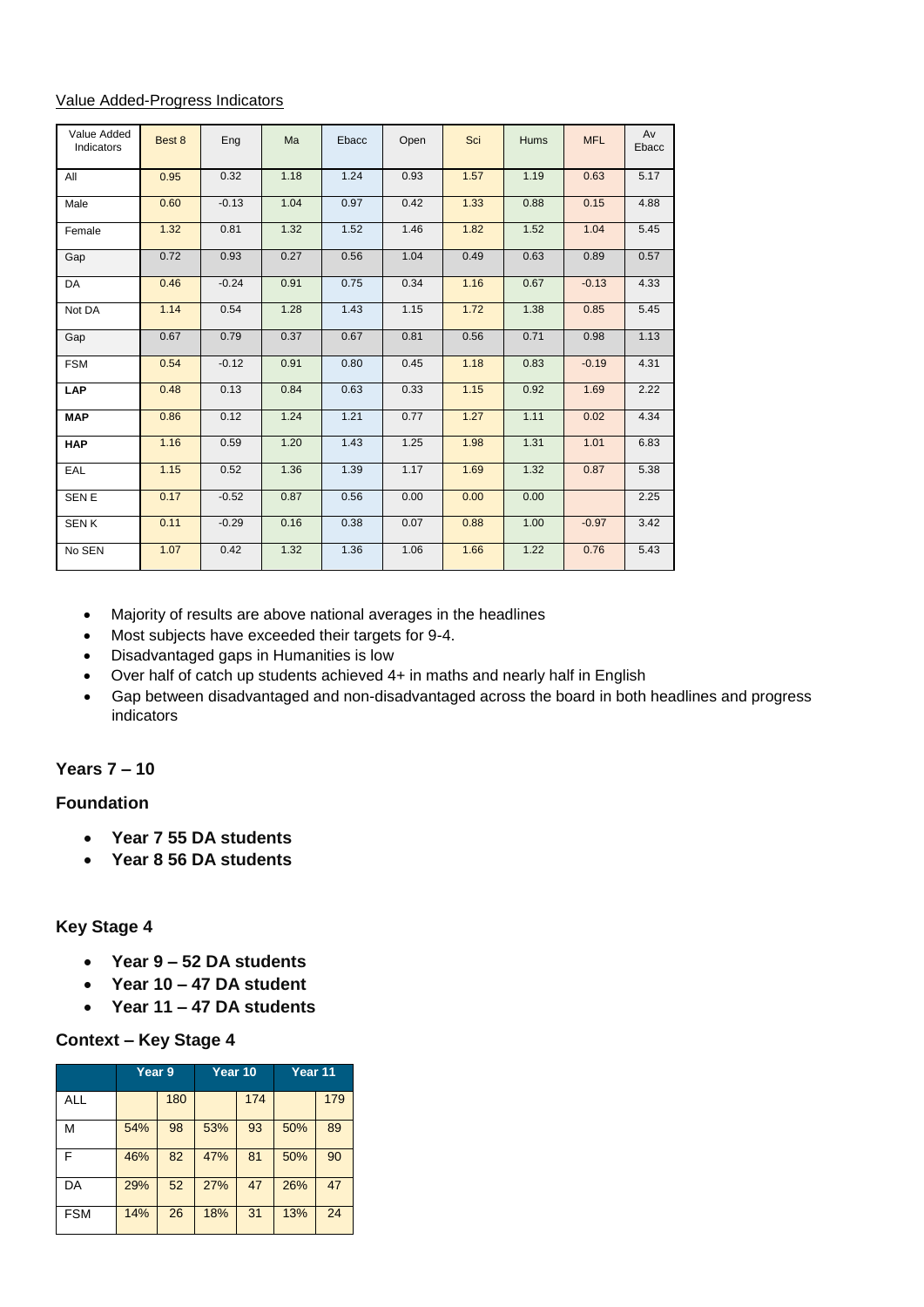#### Value Added-Progress Indicators

| Value Added<br>Indicators | Best 8 | Eng     | Ma   | Ebacc | Open | Sci  | Hums | <b>MFL</b> | Av<br>Ebacc |
|---------------------------|--------|---------|------|-------|------|------|------|------------|-------------|
| All                       | 0.95   | 0.32    | 1.18 | 1.24  | 0.93 | 1.57 | 1.19 | 0.63       | 5.17        |
| Male                      | 0.60   | $-0.13$ | 1.04 | 0.97  | 0.42 | 1.33 | 0.88 | 0.15       | 4.88        |
| Female                    | 1.32   | 0.81    | 1.32 | 1.52  | 1.46 | 1.82 | 1.52 | 1.04       | 5.45        |
| Gap                       | 0.72   | 0.93    | 0.27 | 0.56  | 1.04 | 0.49 | 0.63 | 0.89       | 0.57        |
| DA                        | 0.46   | $-0.24$ | 0.91 | 0.75  | 0.34 | 1.16 | 0.67 | $-0.13$    | 4.33        |
| Not DA                    | 1.14   | 0.54    | 1.28 | 1.43  | 1.15 | 1.72 | 1.38 | 0.85       | 5.45        |
| Gap                       | 0.67   | 0.79    | 0.37 | 0.67  | 0.81 | 0.56 | 0.71 | 0.98       | 1.13        |
| <b>FSM</b>                | 0.54   | $-0.12$ | 0.91 | 0.80  | 0.45 | 1.18 | 0.83 | $-0.19$    | 4.31        |
| <b>LAP</b>                | 0.48   | 0.13    | 0.84 | 0.63  | 0.33 | 1.15 | 0.92 | 1.69       | 2.22        |
| <b>MAP</b>                | 0.86   | 0.12    | 1.24 | 1.21  | 0.77 | 1.27 | 1.11 | 0.02       | 4.34        |
| <b>HAP</b>                | 1.16   | 0.59    | 1.20 | 1.43  | 1.25 | 1.98 | 1.31 | 1.01       | 6.83        |
| EAL                       | 1.15   | 0.52    | 1.36 | 1.39  | 1.17 | 1.69 | 1.32 | 0.87       | 5.38        |
| SEN E                     | 0.17   | $-0.52$ | 0.87 | 0.56  | 0.00 | 0.00 | 0.00 |            | 2.25        |
| <b>SENK</b>               | 0.11   | $-0.29$ | 0.16 | 0.38  | 0.07 | 0.88 | 1.00 | $-0.97$    | 3.42        |
| No SEN                    | 1.07   | 0.42    | 1.32 | 1.36  | 1.06 | 1.66 | 1.22 | 0.76       | 5.43        |

- Majority of results are above national averages in the headlines
- Most subjects have exceeded their targets for 9-4.
- Disadvantaged gaps in Humanities is low
- Over half of catch up students achieved 4+ in maths and nearly half in English
- Gap between disadvantaged and non-disadvantaged across the board in both headlines and progress indicators

# **Years 7 – 10**

#### **Foundation**

- **Year 7 55 DA students**
- **Year 8 56 DA students**

### **Key Stage 4**

- **Year 9 – 52 DA students**
- **Year 10 – 47 DA student**
- **Year 11 – 47 DA students**

### **Context – Key Stage 4**

|            | Year <sub>9</sub> |     | Year 10 |     | Year 11 |     |  |
|------------|-------------------|-----|---------|-----|---------|-----|--|
| <b>ALL</b> |                   | 180 |         | 174 |         | 179 |  |
| м          | 54%               | 98  | 53%     | 93  | 50%     | 89  |  |
| F          | 46%               | 82  | 47%     | 81  | 50%     | 90  |  |
| DA         | 29%               | 52  | 27%     | 47  | 26%     | 47  |  |
| <b>FSM</b> | 14%               | 26  | 18%     | 31  | 13%     | 24  |  |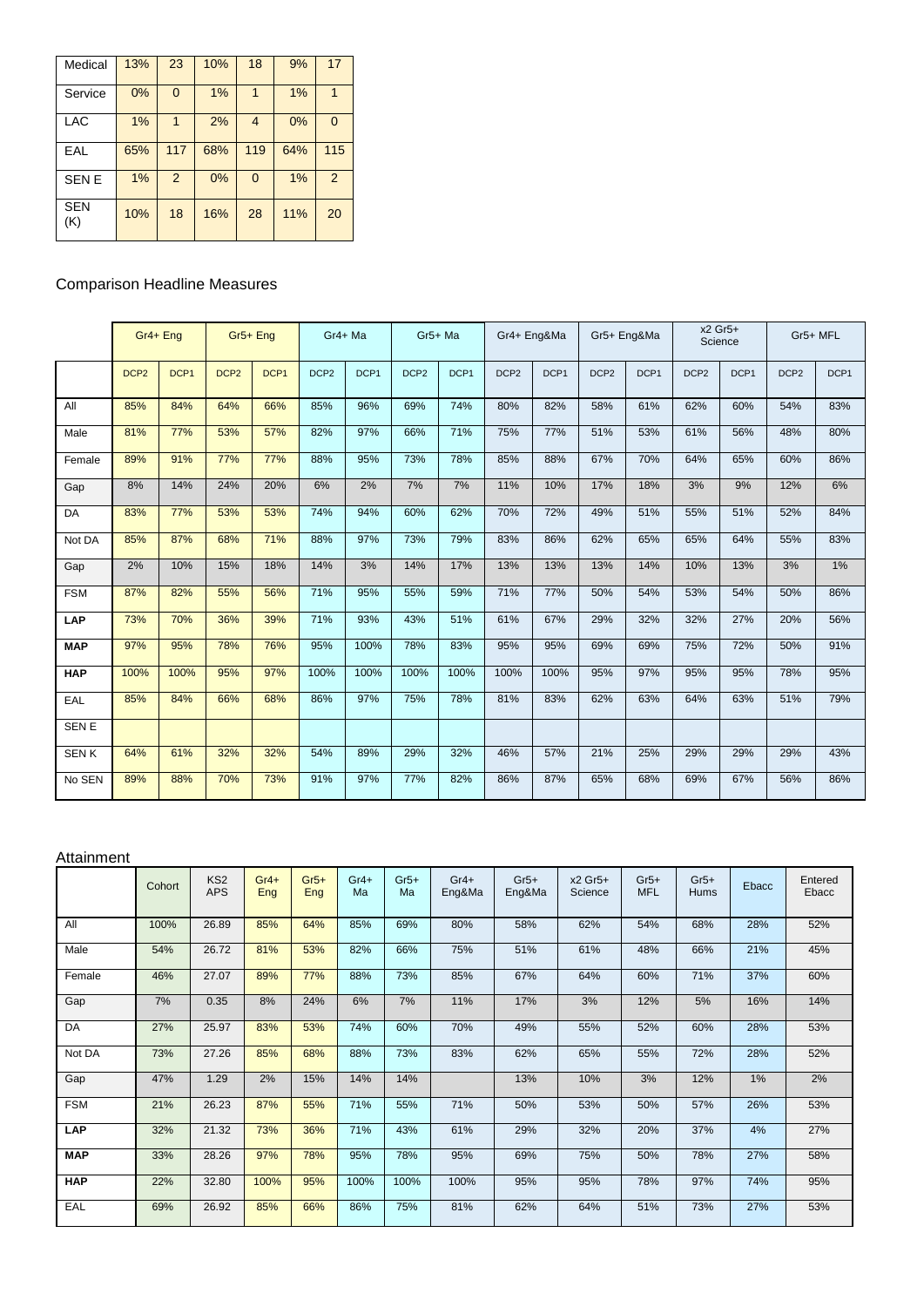| Medical           | 13% | 23       | 10% | 18             | 9%  | 17            |
|-------------------|-----|----------|-----|----------------|-----|---------------|
| Service           | 0%  | $\Omega$ | 1%  |                | 1%  |               |
| LAC               | 1%  |          | 2%  | $\overline{4}$ | 0%  | $\Omega$      |
| EAL               | 65% | 117      | 68% | 119            | 64% | 115           |
| <b>SENE</b>       | 1%  | 2        | 0%  | $\overline{0}$ | 1%  | $\mathcal{P}$ |
| <b>SEN</b><br>(K) | 10% | 18       | 16% | 28             | 11% | 20            |

## Comparison Headline Measures

|             |                  | Gr4+ Eng |                  | Gr <sub>5+</sub> Eng | Gr4+ Ma          |                  |                  | Gr5+ Ma |                  | Gr4+ Eng&Ma | Gr5+ Eng&Ma      |                  |                  | x2 Gr5+<br>Science |                  | Gr5+ MFL         |
|-------------|------------------|----------|------------------|----------------------|------------------|------------------|------------------|---------|------------------|-------------|------------------|------------------|------------------|--------------------|------------------|------------------|
|             | DCP <sub>2</sub> | DCP1     | DCP <sub>2</sub> | DCP1                 | DCP <sub>2</sub> | DCP <sub>1</sub> | DCP <sub>2</sub> | DCP1    | DCP <sub>2</sub> | DCP1        | DCP <sub>2</sub> | DCP <sub>1</sub> | DCP <sub>2</sub> | DCP1               | DCP <sub>2</sub> | DCP <sub>1</sub> |
| All         | 85%              | 84%      | 64%              | 66%                  | 85%              | 96%              | 69%              | 74%     | 80%              | 82%         | 58%              | 61%              | 62%              | 60%                | 54%              | 83%              |
| Male        | 81%              | 77%      | 53%              | 57%                  | 82%              | 97%              | 66%              | 71%     | 75%              | 77%         | 51%              | 53%              | 61%              | 56%                | 48%              | 80%              |
| Female      | 89%              | 91%      | 77%              | 77%                  | 88%              | 95%              | 73%              | 78%     | 85%              | 88%         | 67%              | 70%              | 64%              | 65%                | 60%              | 86%              |
| Gap         | 8%               | 14%      | 24%              | 20%                  | 6%               | 2%               | 7%               | 7%      | 11%              | 10%         | 17%              | 18%              | 3%               | 9%                 | 12%              | 6%               |
| DA          | 83%              | 77%      | 53%              | 53%                  | 74%              | 94%              | 60%              | 62%     | 70%              | 72%         | 49%              | 51%              | 55%              | 51%                | 52%              | 84%              |
| Not DA      | 85%              | 87%      | 68%              | 71%                  | 88%              | 97%              | 73%              | 79%     | 83%              | 86%         | 62%              | 65%              | 65%              | 64%                | 55%              | 83%              |
| Gap         | 2%               | 10%      | 15%              | 18%                  | 14%              | 3%               | 14%              | 17%     | 13%              | 13%         | 13%              | 14%              | 10%              | 13%                | 3%               | 1%               |
| <b>FSM</b>  | 87%              | 82%      | 55%              | 56%                  | 71%              | 95%              | 55%              | 59%     | 71%              | 77%         | 50%              | 54%              | 53%              | 54%                | 50%              | 86%              |
| <b>LAP</b>  | 73%              | 70%      | 36%              | 39%                  | 71%              | 93%              | 43%              | 51%     | 61%              | 67%         | 29%              | 32%              | 32%              | 27%                | 20%              | 56%              |
| <b>MAP</b>  | 97%              | 95%      | 78%              | 76%                  | 95%              | 100%             | 78%              | 83%     | 95%              | 95%         | 69%              | 69%              | 75%              | 72%                | 50%              | 91%              |
| <b>HAP</b>  | 100%             | 100%     | 95%              | 97%                  | 100%             | 100%             | 100%             | 100%    | 100%             | 100%        | 95%              | 97%              | 95%              | 95%                | 78%              | 95%              |
| EAL         | 85%              | 84%      | 66%              | 68%                  | 86%              | 97%              | 75%              | 78%     | 81%              | 83%         | 62%              | 63%              | 64%              | 63%                | 51%              | 79%              |
| SEN E       |                  |          |                  |                      |                  |                  |                  |         |                  |             |                  |                  |                  |                    |                  |                  |
| <b>SENK</b> | 64%              | 61%      | 32%              | 32%                  | 54%              | 89%              | 29%              | 32%     | 46%              | 57%         | 21%              | 25%              | 29%              | 29%                | 29%              | 43%              |
| No SEN      | 89%              | 88%      | 70%              | 73%                  | 91%              | 97%              | 77%              | 82%     | 86%              | 87%         | 65%              | 68%              | 69%              | 67%                | 56%              | 86%              |

#### Attainment

|            | Cohort | KS <sub>2</sub><br><b>APS</b> | $Gr4+$<br>Eng | $Gr5+$<br>Eng | $Gr4+$<br>Ma | $Gr5+$<br>Ma | $Gr4+$<br>Eng&Ma | $Gr5+$<br>Eng&Ma | $x2$ Gr <sub>5+</sub><br>Science | $Gr5+$<br><b>MFL</b> | $Gr5+$<br>Hums | Ebacc | Entered<br>Ebacc |
|------------|--------|-------------------------------|---------------|---------------|--------------|--------------|------------------|------------------|----------------------------------|----------------------|----------------|-------|------------------|
| All        | 100%   | 26.89                         | 85%           | 64%           | 85%          | 69%          | 80%              | 58%              | 62%                              | 54%                  | 68%            | 28%   | 52%              |
| Male       | 54%    | 26.72                         | 81%           | 53%           | 82%          | 66%          | 75%              | 51%              | 61%                              | 48%                  | 66%            | 21%   | 45%              |
| Female     | 46%    | 27.07                         | 89%           | 77%           | 88%          | 73%          | 85%              | 67%              | 64%                              | 60%                  | 71%            | 37%   | 60%              |
| Gap        | 7%     | 0.35                          | 8%            | 24%           | 6%           | 7%           | 11%              | 17%              | 3%                               | 12%                  | 5%             | 16%   | 14%              |
| DA         | 27%    | 25.97                         | 83%           | 53%           | 74%          | 60%          | 70%              | 49%              | 55%                              | 52%                  | 60%            | 28%   | 53%              |
| Not DA     | 73%    | 27.26                         | 85%           | 68%           | 88%          | 73%          | 83%              | 62%              | 65%                              | 55%                  | 72%            | 28%   | 52%              |
| Gap        | 47%    | 1.29                          | 2%            | 15%           | 14%          | 14%          |                  | 13%              | 10%                              | 3%                   | 12%            | 1%    | 2%               |
| <b>FSM</b> | 21%    | 26.23                         | 87%           | 55%           | 71%          | 55%          | 71%              | 50%              | 53%                              | 50%                  | 57%            | 26%   | 53%              |
| <b>LAP</b> | 32%    | 21.32                         | 73%           | 36%           | 71%          | 43%          | 61%              | 29%              | 32%                              | 20%                  | 37%            | 4%    | 27%              |
| <b>MAP</b> | 33%    | 28.26                         | 97%           | 78%           | 95%          | 78%          | 95%              | 69%              | 75%                              | 50%                  | 78%            | 27%   | 58%              |
| <b>HAP</b> | 22%    | 32.80                         | 100%          | 95%           | 100%         | 100%         | 100%             | 95%              | 95%                              | 78%                  | 97%            | 74%   | 95%              |
| EAL        | 69%    | 26.92                         | 85%           | 66%           | 86%          | 75%          | 81%              | 62%              | 64%                              | 51%                  | 73%            | 27%   | 53%              |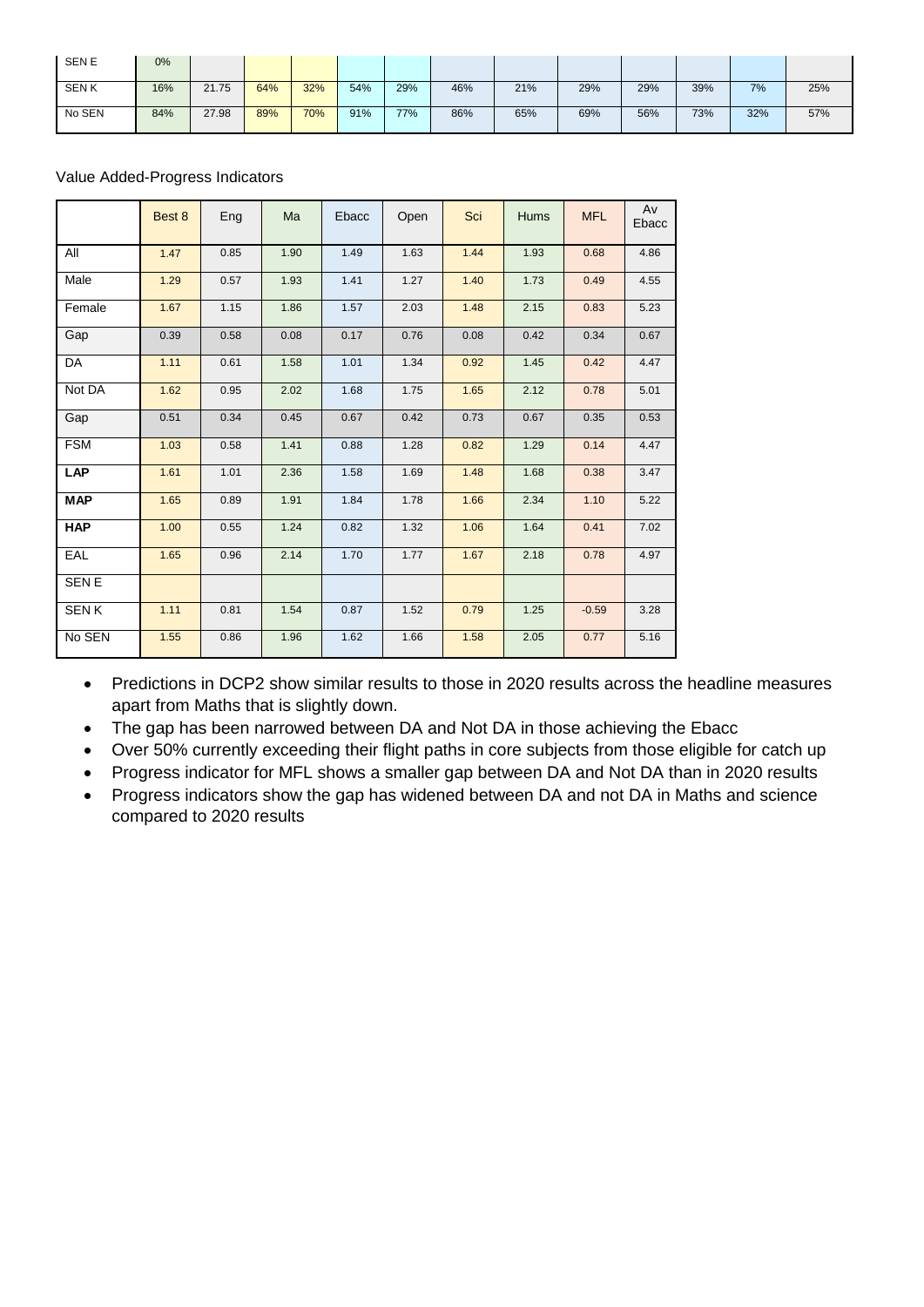| <b>SENE</b> | 0%  |       |     |     |     |     |     |     |     |     |     |     |     |
|-------------|-----|-------|-----|-----|-----|-----|-----|-----|-----|-----|-----|-----|-----|
| <b>SENK</b> | 16% | 21.75 | 64% | 32% | 54% | 29% | 46% | 21% | 29% | 29% | 39% | 7%  | 25% |
| No SEN      | 84% | 27.98 | 89% | 70% | 91% | 77% | 86% | 65% | 69% | 56% | 73% | 32% | 57% |

### Value Added-Progress Indicators

|             | Best 8 | Eng  | Ma   | Ebacc | Open | Sci  | <b>Hums</b> | <b>MFL</b> | Av<br>Ebacc |
|-------------|--------|------|------|-------|------|------|-------------|------------|-------------|
| All         | 1.47   | 0.85 | 1.90 | 1.49  | 1.63 | 1.44 | 1.93        | 0.68       | 4.86        |
| Male        | 1.29   | 0.57 | 1.93 | 1.41  | 1.27 | 1.40 | 1.73        | 0.49       | 4.55        |
| Female      | 1.67   | 1.15 | 1.86 | 1.57  | 2.03 | 1.48 | 2.15        | 0.83       | 5.23        |
| Gap         | 0.39   | 0.58 | 0.08 | 0.17  | 0.76 | 0.08 | 0.42        | 0.34       | 0.67        |
| DA          | 1.11   | 0.61 | 1.58 | 1.01  | 1.34 | 0.92 | 1.45        | 0.42       | 4.47        |
| Not DA      | 1.62   | 0.95 | 2.02 | 1.68  | 1.75 | 1.65 | 2.12        | 0.78       | 5.01        |
| Gap         | 0.51   | 0.34 | 0.45 | 0.67  | 0.42 | 0.73 | 0.67        | 0.35       | 0.53        |
| <b>FSM</b>  | 1.03   | 0.58 | 1.41 | 0.88  | 1.28 | 0.82 | 1.29        | 0.14       | 4.47        |
| <b>LAP</b>  | 1.61   | 1.01 | 2.36 | 1.58  | 1.69 | 1.48 | 1.68        | 0.38       | 3.47        |
| <b>MAP</b>  | 1.65   | 0.89 | 1.91 | 1.84  | 1.78 | 1.66 | 2.34        | 1.10       | 5.22        |
| <b>HAP</b>  | 1.00   | 0.55 | 1.24 | 0.82  | 1.32 | 1.06 | 1.64        | 0.41       | 7.02        |
| EAL         | 1.65   | 0.96 | 2.14 | 1.70  | 1.77 | 1.67 | 2.18        | 0.78       | 4.97        |
| <b>SENE</b> |        |      |      |       |      |      |             |            |             |
| <b>SENK</b> | 1.11   | 0.81 | 1.54 | 0.87  | 1.52 | 0.79 | 1.25        | $-0.59$    | 3.28        |
| No SEN      | 1.55   | 0.86 | 1.96 | 1.62  | 1.66 | 1.58 | 2.05        | 0.77       | 5.16        |

• Predictions in DCP2 show similar results to those in 2020 results across the headline measures apart from Maths that is slightly down.

- The gap has been narrowed between DA and Not DA in those achieving the Ebacc
- Over 50% currently exceeding their flight paths in core subjects from those eligible for catch up
- Progress indicator for MFL shows a smaller gap between DA and Not DA than in 2020 results
- Progress indicators show the gap has widened between DA and not DA in Maths and science compared to 2020 results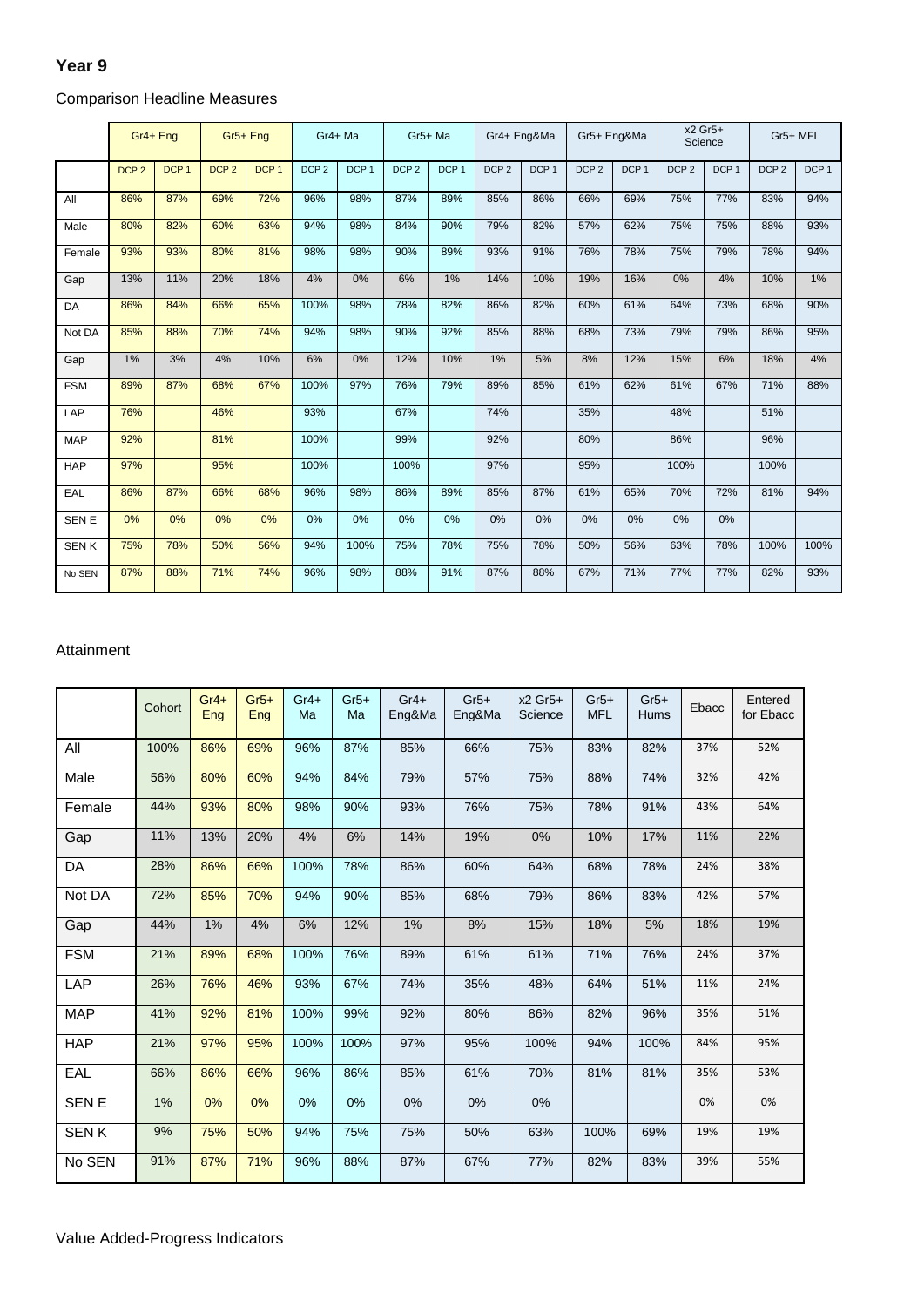### **Year 9**

|              | Gr4+ Eng         |                  | Gr <sub>5+</sub> Eng |                  | Gr4+ Ma          |                  | Gr5+ Ma          |                  |                  | Gr4+ Eng&Ma      | Gr5+ Eng&Ma      |                  |                  | x2 Gr5+<br>Science | Gr5+ MFL         |                  |
|--------------|------------------|------------------|----------------------|------------------|------------------|------------------|------------------|------------------|------------------|------------------|------------------|------------------|------------------|--------------------|------------------|------------------|
|              | DCP <sub>2</sub> | DCP <sub>1</sub> | DCP <sub>2</sub>     | DCP <sub>1</sub> | DCP <sub>2</sub> | DCP <sub>1</sub> | DCP <sub>2</sub> | DCP <sub>1</sub> | DCP <sub>2</sub> | DCP <sub>1</sub> | DCP <sub>2</sub> | DCP <sub>1</sub> | DCP <sub>2</sub> | DCP <sub>1</sub>   | DCP <sub>2</sub> | DCP <sub>1</sub> |
| All          | 86%              | 87%              | 69%                  | 72%              | 96%              | 98%              | 87%              | 89%              | 85%              | 86%              | 66%              | 69%              | 75%              | 77%                | 83%              | 94%              |
| Male         | 80%              | 82%              | 60%                  | 63%              | 94%              | 98%              | 84%              | 90%              | 79%              | 82%              | 57%              | 62%              | 75%              | 75%                | 88%              | 93%              |
| Female       | 93%              | 93%              | 80%                  | 81%              | 98%              | 98%              | 90%              | 89%              | 93%              | 91%              | 76%              | 78%              | 75%              | 79%                | 78%              | 94%              |
| Gap          | 13%              | 11%              | 20%                  | 18%              | 4%               | 0%               | 6%               | 1%               | 14%              | 10%              | 19%              | 16%              | 0%               | 4%                 | 10%              | 1%               |
| DA           | 86%              | 84%              | 66%                  | 65%              | 100%             | 98%              | 78%              | 82%              | 86%              | 82%              | 60%              | 61%              | 64%              | 73%                | 68%              | 90%              |
| Not DA       | 85%              | 88%              | 70%                  | 74%              | 94%              | 98%              | 90%              | 92%              | 85%              | 88%              | 68%              | 73%              | 79%              | 79%                | 86%              | 95%              |
| Gap          | 1%               | 3%               | 4%                   | 10%              | 6%               | 0%               | 12%              | 10%              | 1%               | 5%               | 8%               | 12%              | 15%              | 6%                 | 18%              | 4%               |
| <b>FSM</b>   | 89%              | 87%              | 68%                  | 67%              | 100%             | 97%              | 76%              | 79%              | 89%              | 85%              | 61%              | 62%              | 61%              | 67%                | 71%              | 88%              |
| LAP          | 76%              |                  | 46%                  |                  | 93%              |                  | 67%              |                  | 74%              |                  | 35%              |                  | 48%              |                    | 51%              |                  |
| <b>MAP</b>   | 92%              |                  | 81%                  |                  | 100%             |                  | 99%              |                  | 92%              |                  | 80%              |                  | 86%              |                    | 96%              |                  |
| <b>HAP</b>   | 97%              |                  | 95%                  |                  | 100%             |                  | 100%             |                  | 97%              |                  | 95%              |                  | 100%             |                    | 100%             |                  |
| EAL          | 86%              | 87%              | 66%                  | 68%              | 96%              | 98%              | 86%              | 89%              | 85%              | 87%              | 61%              | 65%              | 70%              | 72%                | 81%              | 94%              |
| <b>SEN E</b> | 0%               | 0%               | 0%                   | 0%               | 0%               | 0%               | 0%               | 0%               | 0%               | 0%               | 0%               | 0%               | 0%               | 0%                 |                  |                  |
| <b>SENK</b>  | 75%              | 78%              | 50%                  | 56%              | 94%              | 100%             | 75%              | 78%              | 75%              | 78%              | 50%              | 56%              | 63%              | 78%                | 100%             | 100%             |
| No SEN       | 87%              | 88%              | 71%                  | 74%              | 96%              | 98%              | 88%              | 91%              | 87%              | 88%              | 67%              | 71%              | 77%              | 77%                | 82%              | 93%              |

### Comparison Headline Measures

#### Attainment

|             | Cohort | $Gr4+$<br>Eng | $Gr5+$<br>Eng | $Gr4+$<br>Ma | $Gr5+$<br>Ma | $Gr4+$<br>Eng&Ma | $Gr5+$<br>Eng&Ma | $x2$ Gr <sub>5+</sub><br>Science | $Gr5+$<br><b>MFL</b> | $Gr5+$<br><b>Hums</b> | Ebacc | Entered<br>for Ebacc |
|-------------|--------|---------------|---------------|--------------|--------------|------------------|------------------|----------------------------------|----------------------|-----------------------|-------|----------------------|
| All         | 100%   | 86%           | 69%           | 96%          | 87%          | 85%              | 66%              | 75%                              | 83%                  | 82%                   | 37%   | 52%                  |
| Male        | 56%    | 80%           | 60%           | 94%          | 84%          | 79%              | 57%              | 75%                              | 88%                  | 74%                   | 32%   | 42%                  |
| Female      | 44%    | 93%           | 80%           | 98%          | 90%          | 93%              | 76%              | 75%                              | 78%                  | 91%                   | 43%   | 64%                  |
| Gap         | 11%    | 13%           | 20%           | 4%           | 6%           | 14%              | 19%              | 0%                               | 10%                  | 17%                   | 11%   | 22%                  |
| DA          | 28%    | 86%           | 66%           | 100%         | 78%          | 86%              | 60%              | 64%                              | 68%                  | 78%                   | 24%   | 38%                  |
| Not DA      | 72%    | 85%           | 70%           | 94%          | 90%          | 85%              | 68%              | 79%                              | 86%                  | 83%                   | 42%   | 57%                  |
| Gap         | 44%    | 1%            | 4%            | 6%           | 12%          | 1%               | 8%               | 15%                              | 18%                  | 5%                    | 18%   | 19%                  |
| <b>FSM</b>  | 21%    | 89%           | 68%           | 100%         | 76%          | 89%              | 61%              | 61%                              | 71%                  | 76%                   | 24%   | 37%                  |
| LAP         | 26%    | 76%           | 46%           | 93%          | 67%          | 74%              | 35%              | 48%                              | 64%                  | 51%                   | 11%   | 24%                  |
| <b>MAP</b>  | 41%    | 92%           | 81%           | 100%         | 99%          | 92%              | 80%              | 86%                              | 82%                  | 96%                   | 35%   | 51%                  |
| <b>HAP</b>  | 21%    | 97%           | 95%           | 100%         | 100%         | 97%              | 95%              | 100%                             | 94%                  | 100%                  | 84%   | 95%                  |
| EAL         | 66%    | 86%           | 66%           | 96%          | 86%          | 85%              | 61%              | 70%                              | 81%                  | 81%                   | 35%   | 53%                  |
| <b>SENE</b> | 1%     | 0%            | 0%            | 0%           | 0%           | 0%               | 0%               | 0%                               |                      |                       | 0%    | 0%                   |
| <b>SENK</b> | 9%     | 75%           | 50%           | 94%          | 75%          | 75%              | 50%              | 63%                              | 100%                 | 69%                   | 19%   | 19%                  |
| No SEN      | 91%    | 87%           | 71%           | 96%          | 88%          | 87%              | 67%              | 77%                              | 82%                  | 83%                   | 39%   | 55%                  |